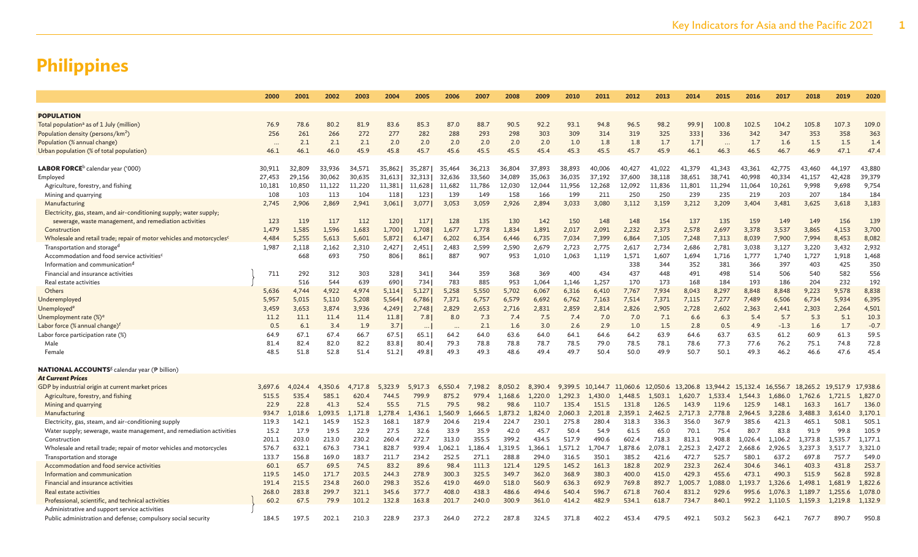|                                                                                   | 2000      | 2001    | 2002    | 2003    | 2004    | 2005     | 2006    | 2007    | 2008    | 2009    | 2010    | 2011     | 2012     | 2013              | 2014    | 2015      | 2016              | 2017     | 2018     | 2019     | 2020         |
|-----------------------------------------------------------------------------------|-----------|---------|---------|---------|---------|----------|---------|---------|---------|---------|---------|----------|----------|-------------------|---------|-----------|-------------------|----------|----------|----------|--------------|
|                                                                                   |           |         |         |         |         |          |         |         |         |         |         |          |          |                   |         |           |                   |          |          |          |              |
| <b>POPULATION</b>                                                                 |           |         |         |         |         |          |         |         |         |         |         |          |          |                   |         |           |                   |          |          |          |              |
| Total population <sup>a</sup> as of 1 July (million)                              | 76.9      | 78.6    | 80.2    | 81.9    | 83.6    | 85.3     | 87.0    | 88.7    | 90.5    | 92.2    | 93.1    | 94.8     | 96.5     | 98.2              | 99.91   | 100.8     | 102.5             | 104.2    | 105.8    | 107.3    | 109.0        |
| Population density (persons/km <sup>2</sup> )                                     | 256       | 261     | 266     | 272     | 277     | 282      | 288     | 293     | 298     | 303     | 309     | 314      | 319      | 325               | 333     | 336       | 342               | 347      | 353      | 358      | 363          |
| Population (% annual change)                                                      | $\ddotsc$ | 2.1     | 2.1     | 2.1     | 2.0     | 2.0      | 2.0     | 2.0     | 2.0     | 2.0     | 1.0     | 1.8      | 1.8      | 1.7               | 1.7     | $\ddotsc$ | 1.7               | 1.6      | 1.5      | 1.5      | 1.4          |
| Urban population (% of total population)                                          | 46.1      | 46.1    | 46.0    | 45.9    | 45.8    | 45.7     | 45.6    | 45.5    | 45.5    | 45.4    | 45.3    | 45.5     | 45.7     | 45.9              | 46.1    | 46.3      | 46.5              | 46.7     | 46.9     | 47.1     | 47.4         |
|                                                                                   |           |         |         |         |         |          |         |         |         |         |         |          |          |                   |         |           |                   |          |          |          |              |
| $\mathsf{LABOR}$ FORCE $^\mathrm{b}$ calendar year ('000)                         | 30,911    | 32,809  | 33,936  | 34,571  | 35,862  | 35,287   | 35,464  | 36,213  | 36,804  | 37,893  | 38,893  | 40,006   | 40,427   | 41,022            | 41,379  | 41.343    | 43,361            | 42,775   | 43,460   | 44.197   | 43,880       |
| Employed                                                                          | 27,453    | 29,156  | 30,062  | 30,635  | 31,613  | 32,313   | 32,636  | 33,560  | 34,089  | 35,063  | 36,035  | 37,192   | 37,600   | 38,118            | 38,651  | 38,741    | 40.998            | 40,334   | 41,157   | 42,428   | 39,379       |
| Agriculture, forestry, and fishing                                                | 10,181    | 10,850  | 11,122  | 11,220  | 11,381  | 11,628   | 11,682  | 11.786  | 12,030  | 12,044  | 11,956  | 12,268   | 12,092   | 11,836            | 11,801  | 11,294    | 11.064            | 10,261   | 9,998    | 9,698    | 9,754        |
| Mining and quarrying                                                              | 108       | 103     | 113     | 104     | 118     | 123      | 139     | 149     | 158     | 166     | 199     | 211      | 250      | 250               | 239     | 235       | 219               | 203      | 207      | 184      | 184          |
| Manufacturing                                                                     | 2,745     | 2,906   | 2,869   | 2,941   | 3,061   | 3,077    | 3,053   | 3,059   | 2,926   | 2,894   | 3,033   | 3,080    | 3,112    | 3,159             | 3,212   | 3,209     | 3,404             | 3,481    | 3,625    | 3,618    | 3,183        |
| Electricity, gas, steam, and air-conditioning supply; water supply;               |           |         |         |         |         |          |         |         |         |         |         |          |          |                   |         |           |                   |          |          |          |              |
| sewerage, waste management, and remediation activities                            | 123       | 119     | 117     | 112     | 120     | 117      | 128     | 135     | 130     | 142     | 150     | 148      | 148      | 154               | 137     | 135       | 159               | 149      | 149      | 156      | 139          |
| Construction                                                                      | 1,479     | 1,585   | 1,596   | 1,683   | 1,700   | 1,708    | 1,677   | 1,778   | 1,834   | 1,891   | 2,017   | 2,091    | 2,232    | 2,373             | 2,578   | 2,697     | 3,378             | 3,537    | 3,865    | 4,153    | 3,700        |
| Wholesale and retail trade; repair of motor vehicles and motorcycles <sup>c</sup> | 4,484     | 5,255   | 5,613   | 5,601   | 5,872   | 6,147    | 6,202   | 6,354   | 6,446   | 6,735   | 7,034   | 7,399    | 6,864    | 7,105             | 7,248   | 7,313     | 8,039             | 7,900    | 7,994    | 8,453    | 8,082        |
| Transportation and storage <sup>d</sup>                                           | 1,987     | 2,118   | 2,162   | 2,310   | 2,427   | 2,451    | 2,483   | 2,599   | 2,590   | 2,679   | 2,723   | 2,775    | 2,617    | 2,734             | 2,686   | 2,781     | 3,038             | 3,127    | 3,220    | 3,432    | 2,932        |
| Accommodation and food service activities <sup>c</sup>                            |           | 668     | 693     | 750     | 806     | 861      | 887     | 907     | 953     | 1,010   | 1,063   | 1,119    | 1,571    | 1,607             | 1,694   | 1,716     | 1,777             | 1,740    | 1,727    | 1,918    | 1,468        |
| Information and communication <sup>d</sup>                                        |           |         |         |         |         |          |         |         |         |         |         |          | 338      | 344               | 352     | 381       | 366               | 397      | 403      | 425      | 350          |
| Financial and insurance activities                                                | 711       | 292     | 312     | 303     | 328     | 341      | 344     | 359     | 368     | 369     | 400     | 434      | 437      | 448               | 491     | 498       | 514               | 506      | 540      | 582      | 556          |
| Real estate activities                                                            |           | 516     | 544     | 639     | 690     | 734      | 783     | 885     | 953     | 1,064   | 1,146   | 1,257    | 170      | 173               | 168     | 184       | 193               | 186      | 204      | 232      | 192          |
| Others                                                                            | 5,636     | 4,744   | 4,922   | 4,974   | 5,114   | 5,127    | 5,258   | 5,550   | 5,702   | 6,067   | 6,316   | 6,410    | 7,767    | 7,934             | 8,043   | 8,297     | 8,848             | 8,848    | 9,223    | 9,578    | 8,838        |
| Underemployed                                                                     | 5.957     | 5.015   | 5.110   | 5,208   | 5,564   | 6,786    | 7,371   | 6,757   | 6,579   | 6,692   | 6,762   | 7,163    | 7,514    | 7,371             | 7,115   | 7,277     | 7,489             | 6,506    | 6,734    | 5,934    | 6,395        |
| Unemployed <sup>®</sup>                                                           | 3,459     | 3,653   | 3,874   | 3,936   | 4,249   | 2,748    | 2,829   | 2,653   | 2,716   | 2,831   | 2,859   | 2,814    | 2,826    | 2,905             | 2,728   | 2,602     | 2,363             | 2,441    | 2,303    | 2,264    | 4,501        |
| Unemployment rate (%) <sup>e</sup>                                                | 11.2      | 11.1    | 11.4    | 11.4    | 11.8    | 7.8      | 8.0     | 7.3     | 7.4     | 7.5     | 7.4     | 7.0      | 7.0      | 7.1               | 6.6     | 6.3       | 5.4               | 5.7      | 5.3      | 5.1      | 10.3         |
| Labor force (% annual change) <sup>f</sup>                                        | 0.5       | 6.1     | 3.4     | 1.9     | 3.7     | $\cdots$ |         | 2.1     | 1.6     | 3.0     | 2.6     | 2.9      | 1.0      | 1.5               | 2.8     | 0.5       | 4.9               | $-1.3$   | 1.6      | 1.7      | $-0.7$       |
| Labor force participation rate (%)                                                | 64.9      | 67.1    | 67.4    | 66.7    | 67.5    | 65.1     | 64.2    | 64.0    | 63.6    | 64.0    | 64.1    | 64.6     | 64.2     | 63.9              | 64.6    | 63.7      | 63.5              | 61.2     | 60.9     | 61.3     | 59.5<br>72.8 |
| Male                                                                              | 81.4      | 82.4    | 82.0    | 82.2    | 83.8    | 80.4     | 79.3    | 78.8    | 78.8    | 78.7    | 78.5    | 79.0     | 78.5     | 78.1              | 78.6    | 77.3      | 77.6              | 76.2     | 75.1     | 74.8     |              |
| Female                                                                            | 48.5      | 51.8    | 52.8    | 51.4    | 51.2    | 49.8     | 49.3    | 49.3    | 48.6    | 49.4    | 49.7    | 50.4     | 50.0     | 49.9              | 50.7    | 50.1      | 49.3              | 46.2     | 46.6     | 47.6     | 45.4         |
| <b>NATIONAL ACCOUNTS</b> <sup>g</sup> calendar year (P billion)                   |           |         |         |         |         |          |         |         |         |         |         |          |          |                   |         |           |                   |          |          |          |              |
| At Current Prices                                                                 |           |         |         |         |         |          |         |         |         |         |         |          |          |                   |         |           |                   |          |          |          |              |
| GDP by industrial origin at current market prices                                 | 3,697.6   | 4.024.4 | 4,350.6 | 4,717.8 | 5.323.9 | 5,917.3  | 6,550.4 | 7,198.2 | 8,050.2 | 8,390.4 | 9,399.5 | 10.144.7 | 11,060.6 | 12,050.6 13,206.8 |         |           | 13,944.2 15,132.4 | 16,556.7 | 18,265.2 | 19.517.9 | 17,938.6     |
| Agriculture, forestry, and fishing                                                | 515.5     | 535.4   | 585.1   | 620.4   | 744.5   | 799.9    | 875.2   | 979.4   | 1.168.6 | 1,220.0 | 1.292.3 | 1.430.0  | 1.448.5  | 1.503.1           | 1.620.7 | 1.533.4   | 1.544.3           | 1.686.0  | 1.762.6  | 1.721.5  | 1,827.0      |
| Mining and quarrying                                                              | 22.9      | 22.8    | 41.3    | 52.4    | 55.5    | 71.5     | 79.5    | 98.2    | 98.6    | 110.7   | 135.4   | 151.5    | 131.8    | 126.5             | 143.9   | 119.6     | 125.9             | 148.1    | 163.3    | 161.7    | 136.0        |
| Manufacturing                                                                     | 934.7     | 1,018.6 | 1,093.5 | 1,171.8 | 1,278.4 | 1,436.1  | ,560.9  | 1,666.5 | 1,873.2 | 1,824.0 | 2,060.3 | 2,201.8  | 2,359.1  | 2,462.5           | 2,717.3 | 2,778.8   | 2,964.5           | 3,228.6  | 3,488.3  | 3.614.0  | 3,170.1      |
| Electricity, gas, steam, and air-conditioning supply                              | 119.3     | 142.1   | 145.9   | 152.3   | 168.1   | 187.9    | 204.6   | 219.4   | 224.7   | 230.1   | 275.8   | 280.4    | 318.3    | 336.3             | 356.0   | 367.9     | 385.6             | 421.3    | 465.1    | 508.1    | 505.1        |
| Water supply; sewerage, waste management, and remediation activities              | 15.2      | 17.9    | 19.5    | 22.9    | 27.5    | 32.6     | 33.9    | 35.9    | 42.0    | 45.7    | 50.4    | 54.9     | 61.5     | 65.0              | 70.1    | 75.4      | 80.7              | 83.8     | 91.9     | 99.8     | 105.9        |
| Construction                                                                      | 201.1     | 203.0   | 213.0   | 230.2   | 260.4   | 272.7    | 313.0   | 355.5   | 399.2   | 434.5   | 517.9   | 490.6    | 602.4    | 718.3             | 813.1   | 908.8     | 1.026.4           | 1.106.2  | 1.373.8  | 1.535.7  | 1.177.1      |
| Wholesale and retail trade; repair of motor vehicles and motorcycles              | 576.7     | 632.1   | 676.3   | 734.1   | 828.7   | 939.4    | 1,062.1 | 1,186.4 | 1,319.5 | 1,366.1 | 1,571.2 | 1,704.7  | 1,878.6  | 2,078.1           | 2,252.3 | 2,427.2   | 2,668.6           | 2,926.5  | 3,237.3  | 3,517.7  | 3,321.0      |
| Transportation and storage                                                        | 133.7     | 156.8   | 169.0   | 183.7   | 211.7   | 234.2    | 252.5   | 271.1   | 288.8   | 294.0   | 316.5   | 350.1    | 385.2    | 421.6             | 472.7   | 525.7     | 580.1             | 637.2    | 697.8    | 757.7    | 549.0        |
| Accommodation and food service activities                                         | 60.1      | 65.7    | 69.5    | 74.5    | 83.2    | 89.6     | 98.4    | 111.3   | 121.4   | 129.5   | 145.2   | 161.3    | 182.8    | 202.9             | 232.3   | 262.4     | 304.6             | 346.1    | 403.3    | 431.8    | 253.7        |
| Information and communication                                                     | 119.5     | 145.0   | 171.7   | 203.5   | 244.3   | 278.9    | 300.3   | 325.5   | 349.7   | 362.0   | 368.9   | 380.3    | 400.0    | 415.0             | 429.3   | 455.6     | 473.1             | 490.3    | 515.9    | 562.8    | 592.8        |
| Financial and insurance activities                                                | 191.4     | 215.5   | 234.8   | 260.0   | 298.3   | 352.6    | 419.0   | 469.0   | 518.0   | 560.9   | 636.3   | 692.9    | 769.8    | 892.7             | 1,005.7 | 1,088.0   | 1.193.7           | 1.326.6  | 1,498.1  | 1.681.9  | 1,822.6      |
| Real estate activities                                                            | 268.0     | 283.8   | 299.7   | 321.1   | 345.6   | 377.7    | 408.0   | 438.3   | 486.6   | 494.6   | 540.4   | 596.7    | 671.8    | 760.4             | 831.2   | 929.6     | 995.6             | 1.076.3  | 1.189.7  | 1.255.6  | 1.078.0      |
| Professional, scientific, and technical activities                                | 60.2      | 67.5    | 79.9    | 101.2   | 132.8   | 163.8    | 201.7   | 240.0   | 300.9   | 361.0   | 414.2   | 482.9    | 534.1    | 618.7             | 734.7   | 840.1     | 992.2             | 1,110.5  | 1,159.3  | 1,219.8  | 1,132.9      |
| Administrative and support service activities                                     |           |         |         |         |         |          |         |         |         |         |         |          |          |                   |         |           |                   |          |          |          |              |
| Public administration and defense; compulsory social security                     | 184.5     | 197.5   | 202.1   | 210.3   | 228.9   | 237.3    | 264.0   | 272.2   | 287.8   | 324.5   | 371.8   | 402.2    | 453.4    | 479.5             | 492.1   | 503.2     | 562.3             | 642.1    | 767.7    | 890.7    | 950.8        |
|                                                                                   |           |         |         |         |         |          |         |         |         |         |         |          |          |                   |         |           |                   |          |          |          |              |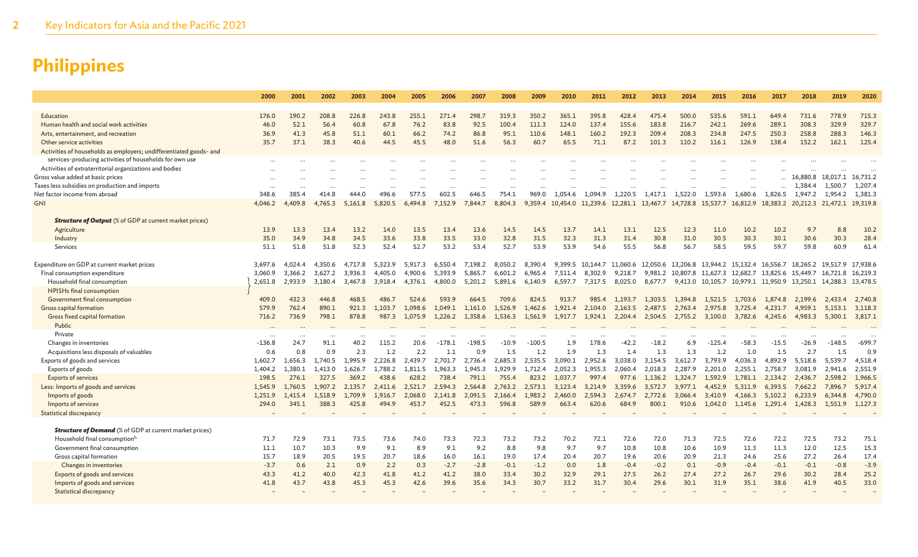|                                                                    | 2000     | 2001         | 2002    | 2003         | 2004         | 2005         | 2006         | 2007         | 2008         | 2009         | 2010         | 2011                                                                   | 2012         | 2013         | 2014         | 2015         | 2016                                                                   | 2017         | 2018                       | 2019                       | 2020         |
|--------------------------------------------------------------------|----------|--------------|---------|--------------|--------------|--------------|--------------|--------------|--------------|--------------|--------------|------------------------------------------------------------------------|--------------|--------------|--------------|--------------|------------------------------------------------------------------------|--------------|----------------------------|----------------------------|--------------|
|                                                                    |          |              |         |              |              |              |              |              |              |              |              |                                                                        |              |              |              |              |                                                                        |              |                            |                            |              |
| Education                                                          | 176.0    | 190.2        | 208.8   | 226.8        | 243.8        | 255.1        | 271.4        | 298.7        | 319.3        | 350.2        | 365.1        | 395.8                                                                  | 428.4        | 475.4        | 500.0        | 535.6        | 591.1                                                                  | 649.4        | 731.6                      | 778.9                      | 715.3        |
| Human health and social work activities                            | 46.0     | 52.1         | 56.4    | 60.8         | 67.8         | 76.2         | 83.8         | 92.5         | 100.4        | 111.3        | 124.0        | 137.4                                                                  | 155.6        | 183.8        | 216.7        | 242.1        | 269.6                                                                  | 289.1        | 308.3                      | 329.9                      | 329.7        |
| Arts, entertainment, and recreation                                | 36.9     | 41.3         | 45.8    | 51.1         | 60.1         | 66.2         | 74.2         | 86.8         | 95.1         | 110.6        | 148.1        | 160.2                                                                  | 192.3        | 209.4        | 208.3        | 234.8        | 247.5                                                                  | 250.3        | 258.8                      | 288.3                      | 146.3        |
| Other service activities                                           | 35.7     | 37.1         | 38.3    | 40.6         | 44.5         | 45.5         | 48.0         | 51.6         | 56.3         | 60.7         | 65.5         | 71.1                                                                   | 87.2         | 101.3        | 110.2        | 116.1        | 126.9                                                                  | 138.4        | 152.2                      | 162.1                      | 125.4        |
| Activities of households as employers; undifferentiated goods- and |          |              |         |              |              |              |              |              |              |              |              |                                                                        |              |              |              |              |                                                                        |              |                            |                            |              |
| services-producing activities of households for own use            | $\cdots$ |              |         |              |              |              |              |              |              |              |              |                                                                        |              |              |              |              |                                                                        |              |                            |                            |              |
| Activities of extraterritorial organizations and bodies            |          |              |         |              |              |              |              |              |              |              |              |                                                                        |              |              |              |              |                                                                        |              |                            |                            |              |
| Gross value added at basic prices                                  |          |              |         |              |              |              |              |              |              |              |              |                                                                        |              |              |              |              |                                                                        |              |                            | 16,880.8 18,017.1 16,731.2 |              |
| Taxes less subsidies on production and imports                     |          |              |         |              |              |              |              |              |              |              |              |                                                                        |              |              |              |              |                                                                        |              | 1,384.4                    | 1,500.7                    | 1,207.4      |
| Net factor income from abroad                                      | 348.6    | 385.4        | 414.8   | 444.0        | 496.6        | 577.5        | 602.5        | 646.5        | 754.1        | 969.0        | 1,054.6      | 1.094.9                                                                | 1.220.5      | 1.417.1      | 1.522.0      | 1,593.6      | 1,680.6                                                                | 1,826.5      | 1,947.2                    | 1.954.2                    | 1,381.3      |
| <b>GNI</b>                                                         | 4,046.2  | 4,409.8      | 4,765.3 | 5,161.8      | 5,820.5      | 6,494.8      | 7,152.9      | 7.844.7      | 8,804.3      |              |              | 9,359.4 10,454.0 11,239.6 12,281.1 13,467.7 14,728.8 15,537.7 16,812.9 |              |              |              |              |                                                                        |              | 18,383.2 20,212.3 21,472.1 |                            | 19,319.8     |
|                                                                    |          |              |         |              |              |              |              |              |              |              |              |                                                                        |              |              |              |              |                                                                        |              |                            |                            |              |
| <b>Structure of Output</b> (% of GDP at current market prices)     |          |              |         |              |              |              |              |              |              |              |              |                                                                        |              |              |              |              |                                                                        |              |                            |                            |              |
| Agriculture                                                        | 13.9     | 13.3         | 13.4    | 13.2         | 14.0         | 13.5         | 13.4         | 13.6         | 14.5         | 14.5         | 13.7         | 14.1                                                                   | 13.1         | 12.5         | 12.3         | 11.0         | 10.2                                                                   | 10.2         | 9.7                        | 8.8                        | 10.2<br>28.4 |
| Industry                                                           | 35.0     | 34.9<br>51.8 | 34.8    | 34.5<br>52.3 | 33.6<br>52.4 | 33.8<br>52.7 | 33.5<br>53.2 | 33.0<br>53.4 | 32.8<br>52.7 | 31.5<br>53.9 | 32.3<br>53.9 | 31.3<br>54.6                                                           | 31.4<br>55.5 | 30.8<br>56.8 | 31.0<br>56.7 | 30.5<br>58.5 | 30.3<br>59.5                                                           | 30.1<br>59.7 | 30.6<br>59.8               | 30.3<br>60.9               | 61.4         |
| Services                                                           | 51.1     |              | 51.8    |              |              |              |              |              |              |              |              |                                                                        |              |              |              |              |                                                                        |              |                            |                            |              |
| Expenditure on GDP at current market prices                        | 3,697.6  | 4,024.4      | 4,350.6 | 4,717.8      | 5,323.9      | 5,917.3      | 6,550.4      | 7,198.2      | 8,050.2      | 8,390.4      |              |                                                                        |              |              |              |              | 9,399.5 10,144.7 11,060.6 12,050.6 13,206.8 13,944.2 15,132.4 16,556.7 |              |                            | 18,265.2 19,517.9 17,938.6 |              |
| Final consumption expenditure                                      | 3,060.9  | 3.366.2      | 3,627.2 | 3,936.3      | 4.405.0      | 4.900.6      | 5,393.9      | 5,865.7      | 6,601.2      | 6,965.4      | 7,511.4      | 8,302.9                                                                | 9,218.7      |              |              |              | 9,981.2 10,807.8 11,627.3 12,682.7 13,825.6 15,449.7 16,721.8 16,219.3 |              |                            |                            |              |
| Household final consumption                                        | 2,651.8  | 2.933.9      | 3,180.4 | 3,467.8      | 3,918.4      | 4,376.1      | 4,800.0      | 5,201.2      | 5,891.6      | 6,140.9      | 6,597.7      | 7,317.5                                                                | 8,025.0      | 8,677.7      |              |              | 9,413.0 10,105.7 10,979.1 11,950.9 13,250.1 14,288.3 13,478.5          |              |                            |                            |              |
| NPISHs final consumption                                           |          |              |         |              |              |              |              |              |              |              |              |                                                                        |              |              |              |              |                                                                        |              |                            |                            |              |
| Government final consumption                                       | 409.0    | 432.3        | 446.8   | 468.5        | 486.7        | 524.6        | 593.9        | 664.5        | 709.6        | 824.5        | 913.7        | 985.4                                                                  | 1,193.7      | 1,303.5      | 1,394.8      | 1,521.5      | 1,703.6                                                                | 1,874.8      | 2,199.6                    | 2,433.4                    | 2,740.8      |
| Gross capital formation                                            | 579.9    | 762.4        | 890.1   | 921.3        | 1.103.7      | 1,098.6      | 1,049.1      | 1,161.0      | 1,526.9      | 1,462.6      | 1,921.4      | 2,104.0                                                                | 2,163.5      | 2,487.5      | 2,763.4      | 2,975.8      | 3,725.4                                                                | 4,231.7      | 4,959.1                    | 5,153.1                    | 3,118.3      |
| Gross fixed capital formation                                      | 716.2    | 736.9        | 798.1   | 878.8        | 987.3        | 1,075.9      | 1,226.2      | 1,358.6      | 1,536.3      | 1,561.9      | 1,917.7      | 1,924.1                                                                | 2,204.4      | 2,504.5      | 2,755.2      | 3,100.0      | 3,782.6                                                                | 4,245.6      | 4,983.3                    | 5,300.1                    | 3,817.1      |
| Public                                                             |          |              |         |              |              |              |              |              |              |              |              |                                                                        |              |              |              |              |                                                                        |              |                            |                            |              |
| Private                                                            |          |              |         |              |              |              |              |              |              |              |              |                                                                        |              |              |              |              |                                                                        |              |                            |                            |              |
| Changes in inventories                                             | $-136.8$ | 24.7         | 91.1    | 40.2         | 115.2        | 20.6         | $-178.1$     | $-198.5$     | -10.9        | $-100.5$     | 1.9          | 178.6                                                                  | $-42.2$      | $-18.2$      | 6.9          | $-125.4$     | $-58.3$                                                                | $-15.5$      | $-26.9$                    | $-148.5$                   | $-699.7$     |
| Acquisitions less disposals of valuables                           | 0.6      | 0.8          | 0.9     | 2.3          | 1.2          | 2.2          | 1.1          | 0.9          | 1.5          | 1.2          | 1.9          | 1.3                                                                    | 1.4          | 1.3          | 1.3          | 1.2          | 1.0                                                                    | 1.5          | 2.7                        | 1.5                        | 0.9          |
| Exports of goods and services                                      | 1,602.7  | 1,656.3      | 1,740.5 | 1,995.9      | 2,226.8      | 2,439.7      | 2,701.7      | 2,736.4      | 2,685.3      | 2,535.5      | 3,090.1      | 2,952.6                                                                | 3,038.0      | 3,154.5      | 3,612.7      | 3,793.9      | 4,036.3                                                                | 4,892.9      | 5,518.6                    | 5,539.7                    | 4,518.4      |
| Exports of goods                                                   | 1,404.2  | 1.380.1      | 1,413.0 | 1.626.7      | 1,788.2      | 1.811.5      | 1.963.3      | 1.945.3      | 1.929.9      | 1.712.4      | 2,052.3      | 1,955.3                                                                | 2.060.4      | 2,018.3      | 2,287.9      | 2,201.0      | 2,255.1                                                                | 2.758.7      | 3.081.9                    | 2.941.6                    | 2,551.9      |
| <b>Exports of services</b>                                         | 198.5    | 276.1        | 327.5   | 369.2        | 438.6        | 628.2        | 738.4        | 791.1        | 755.4        | 823.2        | 1.037.7      | 997.4                                                                  | 977.6        | 1.136.2      | 1,324.7      | 1,592.9      | 1,781.1                                                                | 2,134.2      | 2,436.7                    | 2,598.2                    | 1,966.5      |
| Less: Imports of goods and services                                | 1,545.9  | 1,760.5      | 1,907.2 | 2,135.7      | 2,411.6      | 2,521.7      | 2,594.3      | 2,564.8      | 2,763.2      | 2,573.1      | 3,123.4      | 3,214.9                                                                | 3,359.6      | 3,572.7      | 3,977.1      | 4,452.9      | 5,311.9                                                                | 6,393.5      | 7,662.2                    | 7,896.7                    | 5,917.4      |
| Imports of goods                                                   | 1,251.9  | 1,415.4      | 1,518.9 | 1,709.9      | 1,916.7      | 2,068.0      | 2,141.8      | 2,091.5      | 2,166.4      | 1,983.2      | 2,460.0      | 2,594.3                                                                | 2,674.7      | 2,772.6      | 3,066.4      | 3,410.9      | 4,166.3                                                                | 5,102.2      | 6,233.9                    | 6,344.8                    | 4,790.0      |
| Imports of services                                                | 294.0    | 345.1        | 388.3   | 425.8        | 494.9        | 453.7        | 452.5        | 473.3        | 596.8        | 589.9        | 663.4        | 620.6                                                                  | 684.9        | 800.1        | 910.6        | 1,042.0      | 1,145.6                                                                | 1,291.4      |                            | 1,428.3 1,551.9            | 1,127.3      |
| Statistical discrepancy                                            |          |              |         |              |              |              |              |              |              |              |              |                                                                        |              |              |              |              |                                                                        |              |                            |                            |              |
|                                                                    |          |              |         |              |              |              |              |              |              |              |              |                                                                        |              |              |              |              |                                                                        |              |                            |                            |              |
| <b>Structure of Demand</b> (% of GDP at current market prices)     |          |              |         |              |              |              |              |              |              |              |              |                                                                        |              |              |              |              |                                                                        |              |                            |                            |              |
| Household final consumptionh                                       | 71.7     | 72.9         | 73.1    | 73.5         | 73.6         | 74.0         | 73.3         | 72.3         | 73.2         | 73.2         | 70.2         | 72.1                                                                   | 72.6         | 72.0         | 71.3         | 72.5         | 72.6                                                                   | 72.2         | 72.5                       | 73.2                       | 75.1         |
| Government final consumption                                       | 11.1     | 10.7         | 10.3    | 9.9          | 9.1          | 8.9          | 9.1          | 9.2          | 8.8          | 9.8          | 9.7          | 9.7                                                                    | 10.8         | 10.8         | 10.6         | 10.9         | 11.3                                                                   | 11.3         | 12.0                       | 12.5                       | 15.3         |
| Gross capital formation                                            | 15.7     | 18.9         | 20.5    | 19.5         | 20.7         | 18.6         | 16.0         | 16.1         | 19.0         | 17.4         | 20.4         | 20.7                                                                   | 19.6         | 20.6         | 20.9         | 21.3         | 24.6                                                                   | 25.6         | 27.2                       | 26.4                       | 17.4         |
| Changes in inventories                                             | $-3.7$   | 0.6          | 2.1     | 0.9          | 2.2          | 0.3          | $-2.7$       | $-2.8$       | $-0.1$       | $-1.2$       | 0.0          | 1.8                                                                    | $-0.4$       | $-0.2$       | 0.1          | $-0.9$       | $-0.4$                                                                 | $-0.1$       | $-0.1$                     | $-0.8$                     | $-3.9$       |
| Exports of goods and services                                      | 43.3     | 41.2         | 40.0    | 42.3         | 41.8         | 41.2         | 41.2         | 38.0         | 33.4         | 30.2         | 32.9         | 29.1                                                                   | 27.5         | 26.2         | 27.4         | 27.2         | 26.7                                                                   | 29.6         | 30.2                       | 28.4                       | 25.2         |
| Imports of goods and services                                      | 41.8     | 43.7         | 43.8    | 45.3         | 45.3         | 42.6         | 39.6         | 35.6         | 34.3         | 30.7         | 33.2         | 31.7                                                                   | 30.4         | 29.6         | 30.1         | 31.9         | 35.1                                                                   | 38.6         | 41.9                       | 40.5                       | 33.0         |
| <b>Statistical discrepancy</b>                                     |          |              |         |              |              |              |              |              |              |              |              |                                                                        |              |              |              |              |                                                                        |              |                            |                            |              |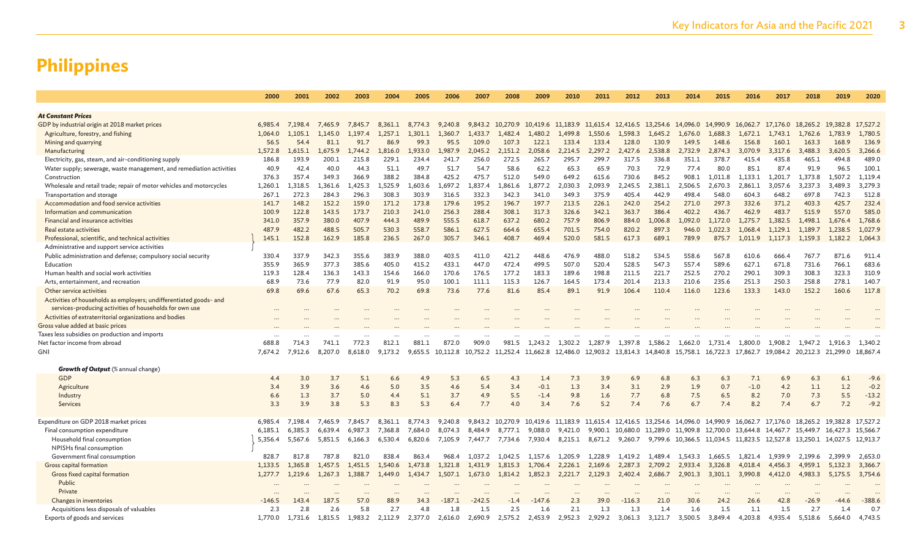|                                                                      | 2000       | 2001    | 2002    | 2003    | 2004    | 2005    | 2006               | 2007     | 2008             | 2009                                                                                                                         | 2010    | 2011    | 2012     | 2013    | 2014                                                                            | 2015    | 2016              | 2017    | 2018    | 2019                                                                                           | 2020     |
|----------------------------------------------------------------------|------------|---------|---------|---------|---------|---------|--------------------|----------|------------------|------------------------------------------------------------------------------------------------------------------------------|---------|---------|----------|---------|---------------------------------------------------------------------------------|---------|-------------------|---------|---------|------------------------------------------------------------------------------------------------|----------|
|                                                                      |            |         |         |         |         |         |                    |          |                  |                                                                                                                              |         |         |          |         |                                                                                 |         |                   |         |         |                                                                                                |          |
| <b>At Constant Prices</b>                                            |            |         |         |         |         |         |                    |          |                  |                                                                                                                              |         |         |          |         |                                                                                 |         |                   |         |         |                                                                                                |          |
| GDP by industrial origin at 2018 market prices                       | 6,985.4    | 7,198.4 | 7,465.9 | 7,845.7 | 8,361.1 | 8,774.3 | 9,240.8            |          | 9,843.2 10,270.9 | 10,419.6 11,183.9 11,615.4 12,416.5 13,254.6 14,096.0 14,990.9                                                               |         |         |          |         |                                                                                 |         | 16,062.7 17,176.0 |         |         | 18,265.2 19,382.8                                                                              | 17,527.2 |
| Agriculture, forestry, and fishing                                   | 1.064.0    | 1.105.1 | 1.145.0 | 1,197.4 | 1.257.1 | 1.301.1 | 1.360.7            | 1.433.7  | 1.482.4          | 1.480.2                                                                                                                      | 1.499.8 | 1.550.6 | 1.598.3  | 1.645.2 | 1.676.0                                                                         | 1.688.3 | 1.672.1           | 1.743.1 | 1.762.6 | 1.783.9                                                                                        | 1.780.5  |
| Mining and quarrying                                                 | 56.5       | 54.4    | 81.1    | 91.7    | 86.9    | 99.3    | 95.5               | 109.0    | 107.3            | 122.1                                                                                                                        | 133.4   | 133.4   | 128.0    | 130.9   | 149.5                                                                           | 148.6   | 156.8             | 160.1   | 163.3   | 168.9                                                                                          | 136.9    |
| Manufacturing                                                        | 1,572.8    | .,615.1 | 1,675.9 | .744.2  | 1,816.0 | 1,933.0 | .,987.9            | 2,045.2  | 2,151.2          | 2,058.6                                                                                                                      | 2,214.5 | 2,297.2 | 2,427.6  | 2,538.8 | 2,732.9                                                                         | 2,874.3 | 3,070.9           | 3,317.6 | 3,488.3 | 3,620.5                                                                                        | 3,266.6  |
| Electricity, gas, steam, and air-conditioning supply                 | 186.8      | 193.9   | 200.1   | 215.8   | 229.1   | 234.4   | 241.7              | 256.0    | 272.5            | 265.7                                                                                                                        | 295.7   | 299.7   | 317.5    | 336.8   | 351.1                                                                           | 378.7   | 415.4             | 435.8   | 465.1   | 494.8                                                                                          | 489.0    |
| Water supply; sewerage, waste management, and remediation activities | 40.9       | 42.4    | 40.0    | 44.3    | 51.1    | 49.7    | 51.7               | 54.7     | 58.6             | 62.2                                                                                                                         | 65.3    | 65.9    | 70.3     | 72.9    | 77.4                                                                            | 80.0    | 85.1              | 87.4    | 91.9    | 96.5                                                                                           | 100.1    |
| Construction                                                         | 376.3      | 357.4   | 349.3   | 366.9   | 388.2   | 384.8   | 425.2              | 475.7    | 512.0            | 549.0                                                                                                                        | 649.2   | 615.6   | 730.6    | 845.2   | 908.1                                                                           | 1.011.8 | 1.133.1           | 1.201.7 | 1.373.8 | 1.507.2                                                                                        | 1,119.4  |
| Wholesale and retail trade; repair of motor vehicles and motorcycles | 1,260.1    | 1,318.5 | 1,361.6 | .425.3  | 1,525.9 | 1.603.6 | .,697.2            | 1,837.4  | 1.861.6          | .877.2                                                                                                                       | 2,030.3 | 2.093.9 | 2,245.5  | 2,381.1 | 2,506.5                                                                         | 2,670.3 | 2,861.1           | 3,057.6 | 3,237.3 | 3,489.3                                                                                        | 3,279.3  |
| Transportation and storage                                           | 267.1      | 272.3   | 284.3   | 296.3   | 308.3   | 303.9   | 316.5              | 332.3    | 342.3            | 341.0                                                                                                                        | 349.3   | 375.9   | 405.4    | 442.9   | 498.4                                                                           | 548.0   | 604.3             | 648.2   | 697.8   | 742.3                                                                                          | 512.8    |
| Accommodation and food service activities                            | 141.7      | 148.2   | 152.2   | 159.0   | 171.2   | 173.8   | 179.6              | 195.2    | 196.7            | 197.7                                                                                                                        | 213.5   | 226.1   | 242.0    | 254.2   | 271.0                                                                           | 297.3   | 332.6             | 371.2   | 403.3   | 425.7                                                                                          | 232.4    |
| Information and communication                                        | 100.9      | 122.8   | 143.5   | 173.7   | 210.3   | 241.0   | 256.3              | 288.4    | 308.1            | 317.3                                                                                                                        | 326.6   | 342.1   | 363.7    | 386.4   | 402.2                                                                           | 436.7   | 462.9             | 483.7   | 515.9   | 557.0                                                                                          | 585.0    |
| Financial and insurance activities                                   | 341.0      | 357.9   | 380.0   | 407.9   | 444.3   | 489.9   | 555.5              | 618.7    | 637.2            | 680.2                                                                                                                        | 757.9   | 806.9   | 884.0    | 1.006.8 | 1,092.0                                                                         | 1,172.0 | 1,275.7           | 1,382.5 | 1,498.1 | 1,676.4                                                                                        | 1,768.6  |
| Real estate activities                                               | 487.9      | 482.2   | 488.5   | 505.7   | 530.3   | 558.7   | 586.1              | 627.5    | 664.6            | 655.4                                                                                                                        | 701.5   | 754.0   | 820.2    | 897.3   | 946.0                                                                           | 1.022.3 | 1.068.4           | 1.129.1 | 1.189.7 | 1.238.5                                                                                        | 1,027.9  |
| Professional, scientific, and technical activities                   | 145.1      | 152.8   | 162.9   | 185.8   | 236.5   | 267.0   | 305.7              | 346.1    | 408.7            | 469.4                                                                                                                        | 520.0   | 581.5   | 617.3    | 689.1   | 789.9                                                                           | 875.7   | 1.011.9           | 1,117.3 |         | 1,159.3 1,182.2                                                                                | 1,064.3  |
| Administrative and support service activities                        |            |         |         |         |         |         |                    |          |                  |                                                                                                                              |         |         |          |         |                                                                                 |         |                   |         |         |                                                                                                |          |
| Public administration and defense; compulsory social security        | 330.4      | 337.9   | 342.3   | 355.6   | 383.9   | 388.0   | 403.5              | 411.0    | 421.2            | 448.6                                                                                                                        | 476.9   | 488.0   | 518.2    | 534.5   | 558.6                                                                           | 567.8   | 610.6             | 666.4   | 767.7   | 871.6                                                                                          | 911.4    |
| Education                                                            | 355.9      | 365.9   | 377.3   | 385.6   | 405.0   | 415.2   | 433.1              | 447.0    | 472.4            | 499.5                                                                                                                        | 507.0   | 520.4   | 528.5    | 547.3   | 557.4                                                                           | 589.6   | 627.1             | 671.8   | 731.6   | 766.1                                                                                          | 683.6    |
| Human health and social work activities                              | 119.3      | 128.4   | 136.3   | 143.3   | 154.6   | 166.0   | 170.6              | 176.5    | 177.2            | 183.3                                                                                                                        | 189.6   | 198.8   | 211.5    | 221.7   | 252.5                                                                           | 270.2   | 290.1             | 309.3   | 308.3   | 323.3                                                                                          | 310.9    |
| Arts, entertainment, and recreation                                  | 68.9       | 73.6    | 77.9    | 82.0    | 91.9    | 95.0    | 100.1              | 111.1    | 115.3            | 126.7                                                                                                                        | 164.5   | 173.4   | 201.4    | 213.3   | 210.6                                                                           | 235.6   | 251.3             | 250.3   | 258.8   | 278.1                                                                                          | 140.7    |
| Other service activities                                             | 69.8       | 69.6    | 67.6    | 65.3    | 70.2    | 69.8    | 73.6               | 77.6     | 81.6             | 85.4                                                                                                                         | 89.1    | 91.9    | 106.4    | 110.4   | 116.0                                                                           | 123.6   | 133.3             | 143.0   | 152.2   | 160.6                                                                                          | 117.8    |
| Activities of households as employers; undifferentiated goods- and   |            |         |         |         |         |         |                    |          |                  |                                                                                                                              |         |         |          |         |                                                                                 |         |                   |         |         |                                                                                                |          |
| services-producing activities of households for own use              |            |         |         |         |         |         |                    |          |                  |                                                                                                                              |         |         |          |         |                                                                                 |         |                   |         |         |                                                                                                |          |
| Activities of extraterritorial organizations and bodies              |            |         |         |         |         |         |                    |          |                  |                                                                                                                              |         |         |          |         |                                                                                 |         |                   |         |         |                                                                                                |          |
| Gross value added at basic prices                                    |            |         |         |         |         |         |                    |          |                  |                                                                                                                              |         |         |          |         |                                                                                 |         |                   |         |         |                                                                                                |          |
| Taxes less subsidies on production and imports                       |            |         |         |         |         |         |                    |          |                  |                                                                                                                              |         |         |          |         |                                                                                 |         |                   |         |         |                                                                                                |          |
| Net factor income from abroad                                        | 688.8      | 714.3   | 741.1   | 772.3   | 812.1   | 881.1   | $\ddotsc$<br>872.0 | 909.0    | 981.5            | 1,243.2                                                                                                                      | 1,302.2 | 1,287.9 | 1,397.8  | 1,586.2 | 1,662.0                                                                         | 1,731.4 | 1,800.0           | 1,908.2 | 1,947.2 | 1,916.3                                                                                        | 1,340.2  |
| GNI                                                                  | 7,674.2    | 7,912.6 | 8,207.0 | 8,618.0 | 9,173.2 |         |                    |          |                  |                                                                                                                              |         |         |          |         |                                                                                 |         |                   |         |         | 19,084.2 20,212.3 21,299.0                                                                     | 18,867.4 |
|                                                                      |            |         |         |         |         |         |                    |          |                  | 9,655.5 10,112.8 10,752.2 11,252.4 11,662.8 12,486.0 12,903.2 13,814.3 14,840.8 15,758.1 16,722.3 17,862.7                   |         |         |          |         |                                                                                 |         |                   |         |         |                                                                                                |          |
| Growth of Output (% annual change)                                   |            |         |         |         |         |         |                    |          |                  |                                                                                                                              |         |         |          |         |                                                                                 |         |                   |         |         |                                                                                                |          |
| GDP                                                                  | 4.4        | 3.0     | 3.7     | 5.1     | 6.6     | 4.9     | 5.3                | 6.5      | 4.3              | 1.4                                                                                                                          | 7.3     | 3.9     | 6.9      | 6.8     | 6.3                                                                             | 6.3     | 7.1               | 6.9     | 6.3     | 6.1                                                                                            | $-9.6$   |
| Agriculture                                                          | 3.4        | 3.9     | 3.6     | 4.6     | 5.0     | 3.5     | 4.6                | 5.4      | 3.4              | $-0.1$                                                                                                                       | 1.3     | 3.4     | 3.1      | 2.9     | 1.9                                                                             | 0.7     | $-1.0$            | 4.2     | 1.1     | 1.2                                                                                            | $-0.2$   |
|                                                                      |            | 1.3     | 3.7     | 5.0     | 4.4     | 5.1     | 3.7                | 4.9      | 5.5              | $-1.4$                                                                                                                       | 9.8     | 1.6     | 7.7      | 6.8     | 7.5                                                                             | 6.5     | 8.2               | 7.0     | 7.3     | 5.5                                                                                            | $-13.2$  |
| Industry<br>Services                                                 | 6.6<br>3.3 | 3.9     | 3.8     | 5.3     | 8.3     | 5.3     | 6.4                | 7.7      | 4.0              | 3.4                                                                                                                          | 7.6     | 5.2     | 7.4      | 7.6     | 6.7                                                                             | 7.4     | 8.2               | 7.4     | 6.7     | 7.2                                                                                            | $-9.2$   |
|                                                                      |            |         |         |         |         |         |                    |          |                  |                                                                                                                              |         |         |          |         |                                                                                 |         |                   |         |         |                                                                                                |          |
| Expenditure on GDP 2018 market prices                                | 6.985.4    | 7.198.4 | 7,465.9 | 7,845.7 | 8.361.1 | 8,774.3 | 9,240.8            |          |                  | 9,843.2 10,270.9 10,419.6 11,183.9 11,615.4 12,416.5 13,254.6 14,096.0 14,990.9 16,062.7 17,176.0 18,265.2 19,382.8 17,527.2 |         |         |          |         |                                                                                 |         |                   |         |         |                                                                                                |          |
| Final consumption expenditure                                        | 6,185.1    | 6.385.3 | 6,639.4 | 6.987.3 | 7.368.8 | 7.684.0 | 8,074.3            | 8,484.9  | 8,777.1          | 9.088.0                                                                                                                      | 9,421.0 |         |          |         | 9,900.1 10,680.0 11,289.0 11,909.8 12,700.0 13,644.8 14,467.7 15,449.7 16,427.3 |         |                   |         |         |                                                                                                | 15,566.7 |
| Household final consumption                                          | 5,356.4    | 5,567.6 | 5,851.5 | 6,166.3 | 6,530.4 | 6,820.6 | 7,105.9            | 7,447.7  | 7,734.6          | 7,930.4                                                                                                                      |         |         |          |         |                                                                                 |         |                   |         |         | 8,215.1 8,671.2 9,260.7 9,799.6 10,366.5 11,034.5 11,823.5 12,527.8 13,250.1 14,027.5 12,913.7 |          |
|                                                                      |            |         |         |         |         |         |                    |          |                  |                                                                                                                              |         |         |          |         |                                                                                 |         |                   |         |         |                                                                                                |          |
| NPISHs final consumption                                             |            |         |         |         |         |         |                    |          |                  |                                                                                                                              |         |         |          |         |                                                                                 |         |                   |         |         |                                                                                                |          |
| Government final consumption                                         | 828.7      | 817.8   | 787.8   | 821.0   | 838.4   | 863.4   | 968.4              | 1.037.2  | 1.042.5          | 1.157.6                                                                                                                      | 1,205.9 | 1,228.9 | 1.419.2  | 1,489.4 | 1,543.3                                                                         | 1,665.5 | 1.821.4           | 1,939.9 | 2,199.6 | 2.399.9                                                                                        | 2,653.0  |
| Gross capital formation                                              | 1.133.5    | 1.365.8 | 1.457.5 | 1.451.5 | 1.540.6 | 1.473.8 | 1.321.8            | 1.431.9  | 1.815.3          | 1.706.4                                                                                                                      | 2,226.1 | 2,169.6 | 2,287.3  | 2,709.2 | 2,933.4                                                                         | 3.326.8 | 4.018.4           | 4.456.3 | 4,959.1 | 5.132.3                                                                                        | 3,366.7  |
| Gross fixed capital formation                                        | 1.277.7    | 1.219.6 | 1.267.3 | 1.388.7 | 1,449.0 | 1.434.7 | 1.507.1            | 1,673.0  | 1.814.2          | 1.852.3                                                                                                                      | 2,221.7 | 2,129.3 | 2,402.4  | 2.686.7 | 2,901.3                                                                         | 3.301.1 | 3.990.8           | 4,412.0 | 4.983.3 | 5.175.5                                                                                        | 3,754.6  |
| Public                                                               |            |         |         |         |         |         |                    |          |                  |                                                                                                                              |         |         |          |         |                                                                                 |         |                   |         |         |                                                                                                |          |
| Private                                                              |            |         |         |         |         |         |                    |          |                  |                                                                                                                              |         |         |          |         |                                                                                 |         |                   |         |         |                                                                                                |          |
| Changes in inventories                                               | $-146.5$   | 143.4   | 187.5   | 57.0    | 88.9    | 34.3    | $-187.1$           | $-242.5$ | $-1.4$           | $-147.6$                                                                                                                     | 2.3     | 39.0    | $-116.3$ | 21.0    | 30.6                                                                            | 24.2    | 26.6              | 42.8    | $-26.9$ | $-44.6$                                                                                        | $-388.6$ |
| Acquisitions less disposals of valuables                             | 2.3        | 2.8     | 2.6     | 5.8     | 2.7     | 4.8     | 1.8                | 1.5      | 2.5              | 1.6                                                                                                                          | 2.1     | 1.3     | 1.3      | 1.4     | 1.6                                                                             | 1.5     | 1.1               | 1.5     | 2.7     | 1.4                                                                                            | 0.7      |
| Exports of goods and services                                        | 1,770.0    | 1,731.6 | 1,815.5 | 1,983.2 | 2,112.9 | 2,377.0 | 2,616.0            | 2,690.9  | 2,575.2          | 2,453.9                                                                                                                      | 2,952.3 | 2,929.2 | 3,061.3  | 3,121.7 | 3.500.5                                                                         | 3,849.4 | 4,203.8           | 4,935.4 | 5,518.6 | 5.664.0                                                                                        | 4,743.5  |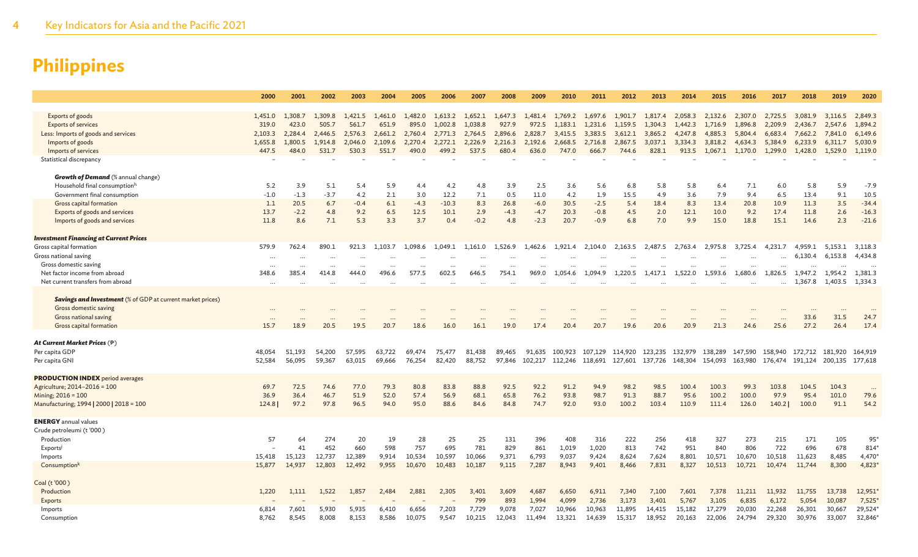|                                                                   | 2000             | 2001    | 2002     | 2003     | 2004    | 2005      | 2006     | 2007    | 2008    | 2009      | 2010      | 2011                                    | 2012      | 2013    | 2014    | 2015            | 2016     | 2017     | 2018    | 2019                    | 2020    |
|-------------------------------------------------------------------|------------------|---------|----------|----------|---------|-----------|----------|---------|---------|-----------|-----------|-----------------------------------------|-----------|---------|---------|-----------------|----------|----------|---------|-------------------------|---------|
|                                                                   |                  |         |          |          |         |           |          |         |         |           |           |                                         |           |         |         |                 |          |          |         |                         |         |
| Exports of goods                                                  | 1,451.0          | 1,308.7 | 1,309.8  | 1,421.5  | 1.461.0 | 1,482.0   | 1,613.2  | 1,652.1 | 1,647.3 | 1,481.4   | 1,769.2   | 1,697.6                                 | 1,901.7   | 1,817.4 | 2,058.3 | 2,132.6         | 2,307.0  | 2.725.5  | 3.081.9 | 3.116.5                 | 2,849.3 |
| <b>Exports of services</b>                                        | 319.0            | 423.0   | 505.7    | 561.7    | 651.9   | 895.0     | 1,002.8  | 1,038.8 | 927.9   | 972.5     | 1,183.1   | 1,231.6                                 | 1,159.5   | 1,304.3 | 1,442.3 | 1,716.9         | 1,896.8  | 2,209.9  | 2,436.7 | 2,547.6                 | 1,894.2 |
| Less: Imports of goods and services                               | 2,103.3          | 2,284.4 | 2,446.5  | 2,576.3  | 2,661.2 | 2,760.4   | 2,771.3  | 2,764.5 | 2,896.6 | 2,828.7   | 3,415.5   | 3,383.5                                 | 3,612.1   | 3,865.2 | 4,247.8 | 4,885.3         | 5,804.4  | 6,683.4  | 7,662.2 | 7,841.0                 | 6,149.6 |
| Imports of goods                                                  | 1,655.8          | 1,800.5 | 1,914.8  | 2,046.0  | 2,109.6 | 2,270.4   | 2,272.1  | 2,226.9 | 2,216.3 | 2,192.6   | 2,668.5   | 2,716.8                                 | 2,867.5   | 3,037.1 | 3,334.3 | 3,818.2         | 4,634.3  | 5,384.9  | 6,233.9 | 6,311.7                 | 5,030.9 |
|                                                                   | 447.5            | 484.0   | 531.7    |          | 551.7   | 490.0     |          |         | 680.4   |           |           |                                         |           |         |         |                 |          |          |         |                         |         |
| Imports of services                                               |                  |         |          | 530.3    |         |           | 499.2    | 537.5   |         | 636.0     | 747.0     | 666.7                                   | 744.6     | 828.1   | 913.5   | 1,067.1         | 1,170.0  | 1,299.0  | 1,428.0 | 1,529.0                 | 1,119.0 |
| Statistical discrepancy                                           |                  |         |          |          |         |           |          |         |         |           |           |                                         |           |         |         |                 |          |          |         |                         |         |
|                                                                   |                  |         |          |          |         |           |          |         |         |           |           |                                         |           |         |         |                 |          |          |         |                         |         |
| <b>Growth of Demand</b> (% annual change)                         |                  |         |          |          |         |           |          |         |         |           |           |                                         |           |         |         |                 |          |          |         |                         |         |
| Household final consumptionh                                      | 5.2              | 3.9     | 5.1      | 5.4      | 5.9     | 4.4       | 4.2      | 4.8     | 3.9     | 2.5       | 3.6       | 5.6                                     | 6.8       | 5.8     | 5.8     | 6.4             | 7.1      | 6.0      | 5.8     | 5.9                     | $-7.9$  |
| Government final consumption                                      | $-1.0$           | $-1.3$  | $-3.7$   | 4.2      | 2.1     | 3.0       | 12.2     | 7.1     | 0.5     | 11.0      | 4.2       | 1.9                                     | 15.5      | 4.9     | 3.6     | 7.9             | 9.4      | 6.5      | 13.4    | 9.1                     | 10.5    |
| Gross capital formation                                           | 1.1              | 20.5    | 6.7      | $-0.4$   | 6.1     | $-4.3$    | $-10.3$  | 8.3     | 26.8    | $-6.0$    | 30.5      | $-2.5$                                  | 5.4       | 18.4    | 8.3     | 13.4            | 20.8     | 10.9     | 11.3    | 3.5                     | $-34.4$ |
| Exports of goods and services                                     | 13.7             | $-2.2$  | 4.8      | 9.2      | 6.5     | 12.5      | 10.1     | 2.9     | $-4.3$  | $-4.7$    | 20.3      | $-0.8$                                  | 4.5       | 2.0     | 12.1    | 10.0            | 9.2      | 17.4     | 11.8    | 2.6                     | $-16.3$ |
| Imports of goods and services                                     | 11.8             | 8.6     | 7.1      | 5.3      | 3.3     | 3.7       | 0.4      | $-0.2$  | 4.8     | $-2.3$    | 20.7      | $-0.9$                                  | 6.8       | 7.0     | 9.9     | 15.0            | 18.8     | 15.1     | 14.6    | 2.3                     | $-21.6$ |
|                                                                   |                  |         |          |          |         |           |          |         |         |           |           |                                         |           |         |         |                 |          |          |         |                         |         |
| <b>Investment Financing at Current Prices</b>                     |                  |         |          |          |         |           |          |         |         |           |           |                                         |           |         |         |                 |          |          |         |                         |         |
| Gross capital formation                                           | 579.9            | 762.4   | 890.1    | 921.3    | 1,103.7 | 1.098.6   | 1.049.1  | 1,161.0 | 1,526.9 | 1,462.6   | 1,921.4   | 2,104.0                                 | 2,163.5   | 2,487.5 | 2,763.4 | 2,975.8         | 3.725.4  | 4.231.7  | 4,959.1 | 5.153.1                 | 3,118.3 |
| Gross national saving                                             | $\ddots$         |         |          |          |         |           |          |         |         |           |           |                                         |           |         |         |                 | $\cdots$ | $\cdots$ | 6,130.4 | 6,153.8                 | 4,434.8 |
| Gross domestic saving                                             | $\ddots$         |         | $\cdots$ | $\cdots$ |         | $\cdots$  | $\cdots$ |         |         |           |           |                                         |           |         |         |                 | $\cdots$ | $\cdots$ |         |                         |         |
| Net factor income from abroad                                     | 348.6            | 385.4   | 414.8    | 444.0    | 496.6   | 577.5     | 602.5    | 646.5   | 754.1   | 969.0     | 1,054.6   | 1.094.9                                 | 1,220.5   | 1,417.1 | 1,522.0 | 1,593.6         | 1,680.6  | 1,826.5  | 1,947.2 | 1,954.2                 | 1,381.3 |
| Net current transfers from abroad                                 | $\ddots$         |         |          | $\cdots$ |         | $\ddotsc$ | $\cdots$ |         |         | $\ddotsc$ | $\ddotsc$ |                                         | $\ddotsc$ |         |         |                 |          | $\cdots$ | 1,367.8 | 1.403.5                 | 1,334.3 |
|                                                                   |                  |         |          |          |         |           |          |         |         |           |           |                                         |           |         |         |                 |          |          |         |                         |         |
| <b>Savings and Investment</b> (% of GDP at current market prices) |                  |         |          |          |         |           |          |         |         |           |           |                                         |           |         |         |                 |          |          |         |                         |         |
| Gross domestic saving                                             |                  |         |          |          |         |           |          |         |         |           |           |                                         |           |         |         |                 |          |          |         |                         |         |
| Gross national saving                                             | $\cdots$         |         |          |          |         |           |          |         |         |           |           |                                         |           |         |         |                 |          |          | 33.6    | <br>31.5                | 24.7    |
| Gross capital formation                                           | $\cdots$<br>15.7 | 18.9    | 20.5     | 19.5     | 20.7    | 18.6      | 16.0     | 16.1    | 19.0    | 17.4      | 20.4      | 20.7                                    | 19.6      | 20.6    | 20.9    | 21.3            | 24.6     | 25.6     | 27.2    | 26.4                    | 17.4    |
|                                                                   |                  |         |          |          |         |           |          |         |         |           |           |                                         |           |         |         |                 |          |          |         |                         |         |
| At Current Market Prices $(\dagger)$                              |                  |         |          |          |         |           |          |         |         |           |           |                                         |           |         |         |                 |          |          |         |                         |         |
|                                                                   |                  |         |          |          |         |           |          |         |         |           |           |                                         |           |         |         |                 |          |          |         |                         |         |
| Per capita GDP                                                    | 48,054           | 51,193  | 54,200   | 57,595   | 63,722  | 69,474    | 75,477   | 81,438  | 89,465  | 91,635    | 100,923   | 107,129                                 | 114,920   | 123,235 | 132,979 | 138,289         | 147,590  | 158,940  | 172,712 | 181,920                 | 164,919 |
| Per capita GNI                                                    | 52,584           | 56,095  | 59,367   | 63,015   | 69,666  | 76,254    | 82,420   | 88,752  | 97,846  | 102,217   |           | 112,246 118,691 127,601 137,726 148,304 |           |         |         | 154,093 163,980 |          |          |         | 176,474 191,124 200,135 | 177,618 |
|                                                                   |                  |         |          |          |         |           |          |         |         |           |           |                                         |           |         |         |                 |          |          |         |                         |         |
| <b>PRODUCTION INDEX</b> period averages                           |                  |         |          |          |         |           |          |         |         |           |           |                                         |           |         |         |                 |          |          |         |                         |         |
| Agriculture; 2014-2016 = 100                                      | 69.7             | 72.5    | 74.6     | 77.0     | 79.3    | 80.8      | 83.8     | 88.8    | 92.5    | 92.2      | 91.2      | 94.9                                    | 98.2      | 98.5    | 100.4   | 100.3           | 99.3     | 103.8    | 104.5   | 104.3                   |         |
| Mining; 2016 = 100                                                | 36.9             | 36.4    | 46.7     | 51.9     | 52.0    | 57.4      | 56.9     | 68.1    | 65.8    | 76.2      | 93.8      | 98.7                                    | 91.3      | 88.7    | 95.6    | 100.2           | 100.0    | 97.9     | 95.4    | 101.0                   | 79.6    |
| Manufacturing; 1994   2000   2018 = 100                           | 124.8            | 97.2    | 97.8     | 96.5     | 94.0    | 95.0      | 88.6     | 84.6    | 84.8    | 74.7      | 92.0      | 93.0                                    | 100.2     | 103.4   | 110.9   | 111.4           | 126.0    | 140.2    | 100.0   | 91.1                    | 54.2    |
|                                                                   |                  |         |          |          |         |           |          |         |         |           |           |                                         |           |         |         |                 |          |          |         |                         |         |
| <b>ENERGY</b> annual values                                       |                  |         |          |          |         |           |          |         |         |           |           |                                         |           |         |         |                 |          |          |         |                         |         |
| Crude petroleumi (t'000)                                          |                  |         |          |          |         |           |          |         |         |           |           |                                         |           |         |         |                 |          |          |         |                         |         |
| Production                                                        | 57               | 64      | 274      | 20       | 19      | 28        | 25       | 25      | 131     | 396       | 408       | 316                                     | 222       | 256     | 418     | 327             | 273      | 215      | 171     | 105                     | 95      |
| Exports                                                           |                  | 41      | 452      | 660      | 598     | 757       | 695      | 781     | 829     | 861       | 1,019     | 1,020                                   | 813       | 742     | 951     | 840             | 806      | 722      | 696     | 678                     | 814     |
| Imports                                                           | 15,418           | 15,123  | 12,737   | 12,389   | 9,914   | 10,534    | 10,597   | 10,066  | 9,371   | 6,793     | 9,037     | 9,424                                   | 8,624     | 7,624   | 8,801   | 10,571          | 10,670   | 10,518   | 11,623  | 8,485                   | 4,470   |
| Consumption <sup>k</sup>                                          | 15,877           | 14,937  | 12.803   | 12,492   | 9.955   | 10.670    | 10,483   | 10,187  | 9,115   | 7,287     | 8.943     | 9,401                                   | 8,466     | 7,831   | 8,327   | 10.513          | 10.721   | 10,474   | 11,744  | 8,300                   | 4,823   |
|                                                                   |                  |         |          |          |         |           |          |         |         |           |           |                                         |           |         |         |                 |          |          |         |                         |         |
| Coal (t'000)                                                      |                  |         |          |          |         |           |          |         |         |           |           |                                         |           |         |         |                 |          |          |         |                         |         |
| Production                                                        | 1,220            | 1,111   | 1,522    | 1,857    | 2,484   | 2,881     | 2,305    | 3,401   | 3,609   | 4,687     | 6,650     | 6,911                                   | 7,340     | 7,100   | 7,601   | 7,378           | 11,211   | 11,932   | 11,755  | 13,738                  | 12,951  |
| Exports                                                           |                  |         |          |          |         |           |          | 799     | 893     | 1,994     | 4,099     | 2,736                                   | 3,173     | 3,401   | 5,767   | 3,105           | 6,835    | 6,172    | 5,054   | 10,087                  | 7,525   |
| Imports                                                           | 6,814            | 7,601   | 5,930    | 5,935    | 6,410   | 6,656     | 7,203    | 7,729   | 9,078   | 7,027     | 10,966    | 10,963                                  | 11,895    | 14,415  | 15,182  | 17,279          | 20,030   | 22,268   | 26,301  | 30,667                  | 29,524  |
| Consumption                                                       | 8,762            | 8,545   | 8,008    | 8,153    | 8,586   | 10,075    | 9,547    | 10,215  | 12,043  | 11,494    | 13,321    | 14,639                                  | 15,317    | 18,952  | 20,163  | 22,006          | 24,794   | 29,320   | 30,976  | 33,007                  | 32,846  |
|                                                                   |                  |         |          |          |         |           |          |         |         |           |           |                                         |           |         |         |                 |          |          |         |                         |         |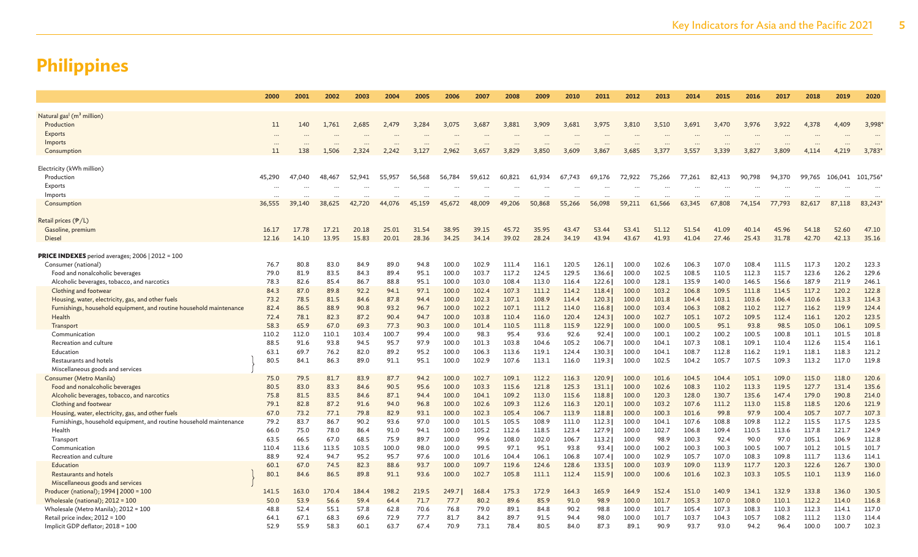|                                                                     | 2000      | 2001     | 2002     | 2003      | 2004      | 2005      | 2006      | 2007     | 2008      | 2009     | 2010      | 2011      | 2012   | 2013                 | 2014     | 2015     | 2016     | 2017     | 2018     | 2019      | 2020      |
|---------------------------------------------------------------------|-----------|----------|----------|-----------|-----------|-----------|-----------|----------|-----------|----------|-----------|-----------|--------|----------------------|----------|----------|----------|----------|----------|-----------|-----------|
|                                                                     |           |          |          |           |           |           |           |          |           |          |           |           |        |                      |          |          |          |          |          |           |           |
| Natural gas <sup>l</sup> (m <sup>3</sup> million)                   |           |          |          |           |           |           |           |          |           |          |           |           |        |                      |          |          |          |          |          |           |           |
| Production                                                          | 11        | 140      | 1,761    | 2,685     | 2,479     | 3,284     | 3,075     | 3,687    | 3,881     | 3,909    | 3,681     | 3,975     | 3,810  | 3,510                | 3,691    | 3,470    | 3,976    | 3,922    | 4,378    | 4,409     | 3,998     |
| Exports                                                             | $\ddotsc$ |          |          |           |           | $\ddotsc$ |           |          |           |          |           |           |        | $\ddot{\phantom{a}}$ |          |          |          |          |          |           |           |
| Imports                                                             | $\cdots$  | $\cdots$ |          | $\ddotsc$ | $\ddotsc$ | $\cdots$  | $\ddotsc$ | $\cdots$ | $\ddotsc$ | $\cdots$ | $\ddotsc$ | $\ddotsc$ |        | $\cdots$             | $\cdots$ | $\cdots$ | $\cdots$ | $\cdots$ | $\cdots$ | $\ddotsc$ | $\ddotsc$ |
| Consumptior                                                         | 11        | 138      | 1,506    | 2,324     | 2,242     | 3,127     | 2,962     | 3,657    | 3,829     | 3,850    | 3,609     | 3,867     | 3,685  | 3,377                | 3,557    | 3,339    | 3,827    | 3,809    | 4,114    | 4,219     | 3,783     |
|                                                                     |           |          |          |           |           |           |           |          |           |          |           |           |        |                      |          |          |          |          |          |           |           |
| Electricity (kWh million)                                           |           |          |          |           |           |           |           |          |           |          |           |           |        |                      |          |          |          |          |          |           |           |
| Production                                                          | 45,290    | 47.040   | 48,467   | 52,941    | 55,957    | 56,568    | 56,784    | 59,612   | 60,821    | 61,934   | 67,743    | 69,176    | 72,922 | 75,266               | 77,261   | 82,413   | 90,798   | 94,370   | 99,765   | 106,041   | 101,756   |
| Exports                                                             | $\cdots$  | $\cdots$ | $\cdots$ | $\cdots$  | $\cdots$  | $\cdots$  | $\cdots$  | $\cdots$ |           | $\cdots$ | $\cdots$  | $\cdots$  |        |                      | $\cdots$ | $\cdots$ | $\cdots$ | $\cdots$ |          |           |           |
| Imports                                                             | $\cdots$  | $\cdots$ | $\cdots$ | $\cdots$  |           | $\cdots$  | $\cdots$  | $\cdots$ |           | $\cdots$ |           | $\cdots$  |        |                      | $\cdots$ | $\cdots$ | $\ddots$ | $\cdots$ |          |           |           |
| Consumptior                                                         | 36,555    | 39,140   | 38,625   | 42,720    | 44,076    | 45,159    | 45,672    | 48,009   | 49,206    | 50,868   | 55,266    | 56,098    | 59,211 | 61,566               | 63,345   | 67,808   | 74,154   | 77,793   | 82,617   | 87,118    | 83,243    |
| Retail prices $(P/L)$                                               |           |          |          |           |           |           |           |          |           |          |           |           |        |                      |          |          |          |          |          |           |           |
| Gasoline, premium                                                   | 16.17     | 17.78    | 17.21    | 20.18     | 25.01     | 31.54     | 38.95     | 39.15    | 45.72     | 35.95    | 43.47     | 53.44     | 53.41  | 51.12                | 51.54    | 41.09    | 40.14    | 45.96    | 54.18    | 52.60     | 47.10     |
| <b>Diesel</b>                                                       | 12.16     | 14.10    | 13.95    | 15.83     | 20.01     | 28.36     | 34.25     | 34.14    | 39.02     | 28.24    | 34.19     | 43.94     | 43.67  | 41.93                | 41.04    | 27.46    | 25.43    | 31.78    | 42.70    | 42.13     | 35.16     |
|                                                                     |           |          |          |           |           |           |           |          |           |          |           |           |        |                      |          |          |          |          |          |           |           |
| PRICE INDEXES period averages; 2006   2012 = 100                    |           |          |          |           |           |           |           |          |           |          |           |           |        |                      |          |          |          |          |          |           |           |
| Consumer (national)                                                 | 76.7      | 80.8     | 83.0     | 84.9      | 89.0      | 94.8      | 100.0     | 102.9    | 111.4     | 116.1    | 120.5     | 126.1     | 100.0  | 102.6                | 106.3    | 107.0    | 108.4    | 111.5    | 117.3    | 120.2     | 123.3     |
| Food and nonalcoholic beverages                                     | 79.0      | 81.9     | 83.5     | 84.3      | 89.4      | 95.1      | 100.0     | 103.7    | 117.2     | 124.5    | 129.5     | 136.6     | 100.0  | 102.5                | 108.5    | 110.5    | 112.3    | 115.7    | 123.6    | 126.2     | 129.6     |
| Alcoholic beverages, tobacco, and narcotics                         | 78.3      | 82.6     | 85.4     | 86.7      | 88.8      | 95.1      | 100.0     | 103.0    | 108.4     | 113.0    | 116.4     | 122.6     | 100.0  | 128.1                | 135.9    | 140.0    | 146.5    | 156.6    | 187.9    | 211.9     | 246.1     |
| Clothing and footwear                                               | 84.3      | 87.0     | 89.8     | 92.2      | 94.1      | 97.1      | 100.0     | 102.4    | 107.3     | 111.2    | 114.2     | 118.4     | 100.0  | 103.2                | 106.8    | 109.5    | 111.8    | 114.5    | 117.2    | 120.2     | 122.8     |
| Housing, water, electricity, gas, and other fuels                   | 73.2      | 78.5     | 81.5     | 84.6      | 87.8      | 94.4      | 100.0     | 102.3    | 107.1     | 108.9    | 114.4     | 120.3     | 100.0  | 101.8                | 104.4    | 103.1    | 103.6    | 106.4    | 110.6    | 113.3     | 114.3     |
| Furnishings, household equipment, and routine household maintenance | 82.4      | 86.5     | 88.9     | 90.8      | 93.2      | 96.7      | 100.0     | 102.2    | 107.1     | 111.2    | 114.0     | 116.8     | 100.0  | 103.4                | 106.3    | 108.2    | 110.2    | 112.7    | 116.2    | 119.9     | 124.4     |
| Health                                                              | 72.4      | 78.1     | 82.3     | 87.2      | 90.4      | 94.7      | 100.0     | 103.8    | 110.4     | 116.0    | 120.4     | 124.3     | 100.0  | 102.7                | 105.1    | 107.2    | 109.5    | 112.4    | 116.1    | 120.2     | 123.5     |
| Transport                                                           | 58.3      | 65.9     | 67.0     | 69.3      | 77.3      | 90.3      | 100.0     | 101.4    | 110.5     | 111.8    | 115.9     | 122.9     | 100.0  | 100.0                | 100.5    | 95.1     | 93.8     | 98.5     | 105.0    | 106.1     | 109.5     |
| Communication                                                       | 110.2     | 112.0    | 110.1    | 103.4     | 100.7     | 99.4      | 100.0     | 98.3     | 95.4      | 93.6     | 92.6      | 92.4      | 100.0  | 100.1                | 100.2    | 100.2    | 100.5    | 100.8    | 101.1    | 101.5     | 101.8     |
| Recreation and culture                                              | 88.5      | 91.6     | 93.8     | 94.5      | 95.7      | 97.9      | 100.0     | 101.3    | 103.8     | 104.6    | 105.2     | 106.7     | 100.0  | 104.1                | 107.3    | 108.1    | 109.1    | 110.4    | 112.6    | 115.4     | 116.1     |
| Education                                                           | 63.1      | 69.7     | 76.2     | 82.0      | 89.2      | 95.2      | 100.0     | 106.3    | 113.6     | 119.1    | 124.4     | 130.3     | 100.0  | 104.1                | 108.7    | 112.8    | 116.2    | 119.1    | 118.1    | 118.3     | 121.2     |
| Restaurants and hotels                                              | 80.5      | 84.1     | 86.3     | 89.0      | 91.1      | 95.1      | 100.0     | 102.9    | 107.6     | 113.1    | 116.0     | 119.3     | 100.0  | 102.5                | 104.2    | 105.7    | 107.5    | 109.3    | 113.2    | 117.0     | 119.8     |
| Miscellaneous goods and services                                    |           |          |          |           |           |           |           |          |           |          |           |           |        |                      |          |          |          |          |          |           |           |
| Consumer (Metro Manila)                                             | 75.0      | 79.5     | 81.7     | 83.9      | 87.7      | 94.2      | 100.0     | 102.7    | 109.1     | 112.2    | 116.3     | 120.9     | 100.0  | 101.6                | 104.5    | 104.4    | 105.1    | 109.0    | 115.0    | 118.0     | 120.6     |
| Food and nonalcoholic beverages                                     | 80.5      | 83.0     | 83.3     | 84.6      | 90.5      | 95.6      | 100.0     | 103.3    | 115.6     | 121.8    | 125.3     | 131.1     | 100.0  | 102.6                | 108.3    | 110.2    | 113.3    | 119.5    | 127.7    | 131.4     | 135.6     |
| Alcoholic beverages, tobacco, and narcotics                         | 75.8      | 81.5     | 83.5     | 84.6      | 87.1      | 94.4      | 100.0     | 104.1    | 109.2     | 113.0    | 115.6     | 118.8     | 100.0  | 120.3                | 128.0    | 130.7    | 135.6    | 147.4    | 179.0    | 190.8     | 214.0     |
| Clothing and footwear                                               | 79.1      | 82.8     | 87.2     | 91.6      | 94.0      | 96.8      | 100.0     | 102.6    | 109.3     | 112.6    | 116.3     | 120.1     | 100.0  | 103.2                | 107.6    | 111.2    | 113.0    | 115.8    | 118.5    | 120.6     | 121.9     |
| Housing, water, electricity, gas, and other fuels                   | 67.0      | 73.2     | 77.1     | 79.8      | 82.9      | 93.1      | 100.0     | 102.3    | 105.4     | 106.7    | 113.9     | 118.8     | 100.0  | 100.3                | 101.6    | 99.8     | 97.9     | 100.4    | 105.7    | 107.7     | 107.3     |
| Furnishings, household equipment, and routine household maintenance | 79.2      | 83.7     | 86.7     | 90.2      | 93.6      | 97.0      | 100.0     | 101.5    | 105.5     | 108.9    | 111.0     | 112.3     | 100.0  | 104.1                | 107.6    | 108.8    | 109.8    | 112.2    | 115.5    | 117.5     | 123.5     |
| Health                                                              | 66.0      | 75.0     | 78.0     | 86.4      | 91.0      | 94.1      | 100.0     | 105.2    | 112.6     | 118.5    | 123.4     | 127.9     | 100.0  | 102.7                | 106.8    | 109.4    | 110.5    | 113.6    | 117.8    | 121.7     | 124.9     |
| Transport                                                           | 63.5      | 66.5     | 67.0     | 68.5      | 75.9      | 89.7      | 100.0     | 99.6     | 108.0     | 102.0    | 106.7     | 113.2     | 100.0  | 98.9                 | 100.3    | 92.4     | 90.0     | 97.0     | 105.1    | 106.9     | 112.8     |
| Communication                                                       | 110.4     | 113.6    | 113.5    | 103.5     | 100.0     | 98.0      | 100.0     | 99.5     | 97.1      | 95.1     | 93.8      | 93.4      | 100.0  | 100.2                | 100.3    | 100.3    | 100.5    | 100.7    | 101.2    | 101.5     | 101.7     |
| Recreation and culture                                              | 88.9      | 92.4     | 94.7     | 95.2      | 95.7      | 97.6      | 100.0     | 101.6    | 104.4     | 106.1    | 106.8     | 107.4     | 100.0  | 102.9                | 105.7    | 107.0    | 108.3    | 109.8    | 111.7    | 113.6     | 114.1     |
| Education                                                           | 60.1      | 67.0     | 74.5     | 82.3      | 88.6      | 93.7      | 100.0     | 109.7    | 119.6     | 124.6    | 128.6     | 133.5     | 100.0  | 103.9                | 109.0    | 113.9    | 117.7    | 120.3    | 122.6    | 126.7     | 130.0     |
| Restaurants and hotels                                              | 80.1      | 84.6     | 86.5     | 89.8      | 91.1      | 93.6      | 100.0     | 102.7    | 105.8     | 111.1    | 112.4     | 115.9     | 100.0  | 100.6                | 101.6    | 102.3    | 103.3    | 105.5    | 110.1    | 113.9     | 116.0     |
| Miscellaneous goods and services                                    |           |          |          |           |           |           |           |          |           |          |           |           |        |                      |          |          |          |          |          |           |           |
| Producer (national); 1994   2000 = 100                              | 141.5     | 163.0    | 170.4    | 184.4     | 198.2     | 219.5     | 249.7     | 168.4    | 175.3     | 172.9    | 164.3     | 165.9     | 164.9  | 152.4                | 151.0    | 140.9    | 134.1    | 132.9    | 133.8    | 136.0     | 130.5     |
| Wholesale (national); $2012 = 100$                                  | 50.0      | 53.9     | 56.6     | 59.4      | 64.4      | 71.7      | 77.7      | 80.2     | 89.6      | 85.9     | 91.0      | 98.9      | 100.0  | 101.7                | 105.3    | 107.0    | 108.0    | 110.1    | 112.2    | 114.0     | 116.8     |
| Wholesale (Metro Manila); 2012 = 100                                | 48.8      | 52.4     | 55.1     | 57.8      | 62.8      | 70.6      | 76.8      | 79.0     | 89.1      | 84.8     | 90.2      | 98.8      | 100.0  | 101.7                | 105.4    | 107.3    | 108.3    | 110.3    | 112.3    | 114.1     | 117.0     |
| Retail price index; $2012 = 100$                                    | 64.1      | 67.1     | 68.3     | 69.6      | 72.9      | 77.7      | 81.7      | 84.2     | 89.7      | 91.5     | 94.4      | 98.0      | 100.0  | 101.7                | 103.7    | 104.3    | 105.7    | 108.2    | 111.2    | 113.0     | 114.4     |
| Implicit GDP deflator; 2018 = 100                                   | 52.9      | 55.9     | 58.3     | 60.1      | 63.7      | 67.4      | 70.9      | 73.1     | 78.4      | 80.5     | 84.0      | 87.3      | 89.1   | 90.9                 | 93.7     | 93.0     | 94.2     |          | 100.0    | 100.7     | 102.3     |
|                                                                     |           |          |          |           |           |           |           |          |           |          |           |           |        |                      |          |          |          | 96.4     |          |           |           |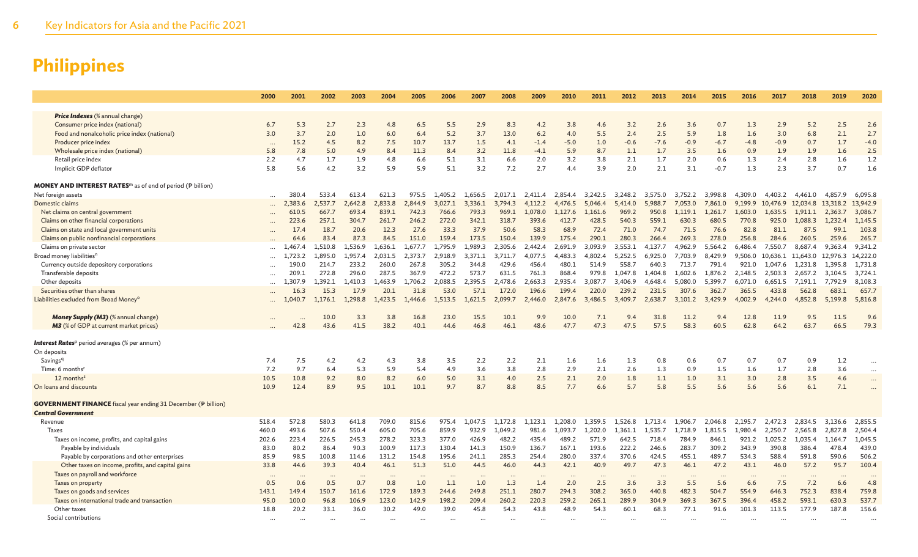|                                                                              | 2000                     | 2001    | 2002     | 2003    | 2004    | 2005    | 2006    | 2007    | 2008    | 2009    | 2010    | 2011    | 2012    | 2013    | 2014    | 2015     | 2016    | 2017     | 2018              | 2019         | 2020     |
|------------------------------------------------------------------------------|--------------------------|---------|----------|---------|---------|---------|---------|---------|---------|---------|---------|---------|---------|---------|---------|----------|---------|----------|-------------------|--------------|----------|
|                                                                              |                          |         |          |         |         |         |         |         |         |         |         |         |         |         |         |          |         |          |                   |              |          |
| Price Indexes (% annual change)                                              |                          |         |          |         |         |         |         |         |         |         |         |         |         |         |         |          |         |          |                   |              |          |
| Consumer price index (national)                                              | 6.7                      | 5.3     | 2.7      | 2.3     | 4.8     | 6.5     | 5.5     | 2.9     | 8.3     | 4.2     | 3.8     | 4.6     | 3.2     | 2.6     | 3.6     | 0.7      | 1.3     | 2.9      | 5.2               | 2.5          | 2.6      |
| Food and nonalcoholic price index (national)                                 | 3.0                      | 3.7     | 2.0      | 1.0     | 6.0     | 6.4     | 5.2     | 3.7     | 13.0    | $6.2$   | 4.0     | 5.5     | 2.4     | 2.5     | 5.9     | 1.8      | 1.6     | 3.0      | 6.8               | 2.1          | 2.7      |
| Producer price index                                                         | $\cdots$                 | 15.2    | 4.5      | 8.2     | 7.5     | 10.7    | 13.7    | 1.5     | 4.1     | $-1.4$  | $-5.0$  | 1.0     | $-0.6$  | $-7.6$  | $-0.9$  | $-6.7$   | $-4.8$  | $-0.9$   | 0.7               | 1.7          | $-4.0$   |
| Wholesale price index (national)                                             | 5.8                      | 7.8     | 5.0      | 4.9     | 8.4     | 11.3    | 8.4     | 3.2     | 11.8    | $-4.1$  | 5.9     | 8.7     | 1.1     | 1.7     | 3.5     | 1.6      | 0.9     | 1.9      | 1.9               | 1.6          | 2.5      |
| Retail price index                                                           | 2.2                      | 4.7     | 1.7      | 1.9     | 4.8     | 6.6     | 5.1     | 3.1     | 6.6     | 2.0     | 3.2     | 3.8     | 2.1     | 1.7     | 2.0     | 0.6      | 1.3     | 2.4      | 2.8               | 1.6          | 1.2      |
| Implicit GDP deflator                                                        | 5.8                      | 5.6     | 4.2      | 3.2     | 5.9     | 5.9     | 5.1     | 3.2     | 7.2     | 2.7     | 4.4     | 3.9     | 2.0     | 2.1     | 3.1     | $-0.7$   | 1.3     | 2.3      | 3.7               | 0.7          | 1.6      |
| <b>MONEY AND INTEREST RATES</b> <sup>m</sup> as of end of period (P billion) |                          |         |          |         |         |         |         |         |         |         |         |         |         |         |         |          |         |          |                   |              |          |
| Net foreign assets                                                           | $\cdots$                 | 380.4   | 533.4    | 613.4   | 621.3   | 975.5   | 1,405.2 | 1.656.5 | 2,017.1 | 2,411.4 | 2.854.4 | 3,242.5 | 3,248.2 | 3,575.0 | 3,752.2 | 3,998.8  | 4.309.0 | 4,403.2  | 4.461.0           | 4.857.9      | 6,095.8  |
| Domestic claims                                                              |                          | 2.383.6 | 2.537.7  | 2,642.8 | 2,833.8 | 2,844.9 | 3.027.1 | 3.336.1 | 3.794.3 | 4.112.2 | 4.476.5 | 5.046.4 | 5,414.0 | 5.988.7 | 7.053.0 | 7,861.0  | 9.199.9 | 10,476.9 | 12,034.8 13,318.2 |              | 13,942.9 |
| Net claims on central government                                             |                          | 610.5   | 667.7    | 693.4   | 839.1   | 742.3   | 766.6   | 793.3   | 969.1   | 1,078.0 | 1.127.6 | 1.161.6 | 969.2   | 950.8   | 1.119.1 | 1.261.7  | 1,603.0 | 1.635.5  | 1.911.1           | 2.363.7      | 3,086.7  |
| Claims on other financial corporations                                       |                          | 223.6   | 257.1    | 304.7   | 261.7   | 246.2   | 272.0   | 342.1   | 318.7   | 393.6   | 412.7   | 428.5   | 540.3   | 559.1   | 630.3   | 680.5    | 770.8   | 925.0    | 1,088.3           | 1.232.4      | 1,145.5  |
| Claims on state and local government units                                   |                          | 17.4    | 18.7     | 20.6    | 12.3    | 27.6    | 33.3    | 37.9    | 50.6    | 58.3    | 68.9    | 72.4    | 71.0    | 74.7    | 71.5    | 76.6     | 82.8    | 81.1     | 87.5              | 99.1         | 103.8    |
| Claims on public nonfinancial corporations                                   |                          | 64.6    | 83.4     | 87.3    | 84.5    | 151.0   | 159.4   | 173.5   | 150.4   | 139.9   | 175.4   | 290.1   | 280.3   | 266.4   | 269.3   | 278.0    | 256.8   | 284.6    | 260.5             | 259.6        | 265.7    |
| Claims on private sector                                                     | $\cdots$                 | .467.4  | 1.510.8  | 1.536.9 | 1.636.1 | 1.677.7 | 1.795.9 | 1,989.3 | 2.305.6 | 2.442.4 | 2.691.9 | 3.093.9 | 3.553.1 | 4.137.7 | 4.962.9 | 5.564.2  | 6.486.4 | 7.550.7  | 8.687.4           | 9.363.4      | 9.341.2  |
| Broad money liabilities <sup>n</sup>                                         |                          | ,723.2  | 1,895.0  | 1,957.4 | 2,031.5 | 2,373.7 | 2,918.9 | 3,371.1 | 3,711.7 | 4,077.5 | 4,483.3 | 4,802.4 | 5,252.5 | 6,925.0 | 7,703.9 | 8,429.9  | 9,506.0 | 10,636.1 | 11,643.0          | 12,976.3     | 14,222.0 |
| Currency outside depository corporations                                     | $\ddot{\phantom{a}}$     | 190.0   | 214.7    | 233.2   | 260.0   | 267.8   | 305.2   | 344.8   | 429.6   | 456.4   | 480.1   | 514.9   | 558.7   | 640.3   | 713.7   | 791.4    | 921.0   | 1,047.6  | 1,231.8           | 1,395.8      | 1,731.8  |
| Transferable deposits                                                        | $\ddotsc$                | 209.1   | 272.8    | 296.0   | 287.5   | 367.9   | 472.2   | 573.7   | 631.5   | 761.3   | 868.4   | 979.8   | 1,047.8 | 1,404.8 | 1,602.6 | 1,876.2  | 2,148.5 | 2,503.3  | 2,657.2           | 3,104.5      | 3,724.1  |
| Other deposits                                                               |                          | .307.9  | 1.392.1  | 1.410.3 | 1.463.9 | 1,706.2 | 2.088.5 | 2.395.5 | 2.478.6 | 2.663.3 | 2.935.4 | 3.087.7 | 3,406.9 | 4.648.4 | 5.080.0 | 5.399.7  | 6.071.0 | 6.651.5  | 7.191.1           | 7.792.9      | 8,108.3  |
| Securities other than shares                                                 |                          | 16.3    | 15.3     | 17.9    | 20.1    | 31.8    | 53.0    | 57.1    | 172.0   | 196.6   | 199.4   | 220.0   | 239.2   | 231.5   | 307.6   | 362.7    | 365.5   | 433.8    | 562.8             | 683.1        | 657.7    |
| Liabilities excluded from Broad Money <sup>o</sup>                           |                          |         | 1,176.1  | 1,298.8 | 1,423.5 | 1,446.6 | .,513.5 | 1,621.5 | 2,099.7 | 2,446.0 | 2,847.6 | 3,486.5 | 3,409.7 | 2,638.7 | 3,101.2 | 3,429.9  | 4,002.9 | 4,244.0  | 4,852.8           | 5,199.8      | 5,816.8  |
| <b>Money Supply (M3)</b> (% annual change)                                   |                          |         | 10.0     | 3.3     | 3.8     | 16.8    | 23.0    | 15.5    | 10.1    | 9.9     | 10.0    | 7.1     | 9.4     | 31.8    | 11.2    | 9.4      | 12.8    | 11.9     | 9.5               | 11.5         | 9.6      |
| <b>M3</b> (% of GDP at current market prices)                                |                          | 42.8    | 43.6     | 41.5    | 38.2    | 40.1    | 44.6    | 46.8    | 46.1    | 48.6    | 47.7    | 47.3    | 47.5    | 57.5    | 58.3    | 60.5     | 62.8    | 64.2     | 63.7              | 66.5         | 79.3     |
|                                                                              |                          |         |          |         |         |         |         |         |         |         |         |         |         |         |         |          |         |          |                   |              |          |
| <b>Interest Rates</b> <sup>p</sup> period averages (% per annum)             |                          |         |          |         |         |         |         |         |         |         |         |         |         |         |         |          |         |          |                   |              |          |
| On deposits                                                                  |                          |         |          |         |         |         |         |         |         |         |         |         |         |         |         |          |         |          |                   |              |          |
| Savingsq                                                                     | 7.4                      | 7.5     | 4.2      | 4.2     | 4.3     | 3.8     | 3.5     | 2.2     | 2.2     | 2.1     | 1.6     | 1.6     | 1.3     | 0.8     | 0.6     | 0.7      | 0.7     | 0.7      | 0.9               | 1.2          | $\cdots$ |
| Time: 6 months <sup>r</sup>                                                  | 7.2                      | 9.7     | 6.4      | 5.3     | 5.9     | 5.4     | 4.9     | 3.6     | 3.8     | 2.8     | 2.9     | 2.1     | 2.6     | 1.3     | 0.9     | 1.5      | 1.6     | 1.7      | 2.8               | 3.6          | $\ddots$ |
| 12 months <sup>s</sup>                                                       | 10.5                     | 10.8    | 9.2      | 8.0     | 8.2     | 6.0     | 5.0     | 3.1     | 4.0     | 2.5     | 2.1     | 2.0     | 1.8     | $1.1$   | 1.0     | 3.1      | 3.0     | 2.8      | 3.5               | 4.6          | $\cdots$ |
| On loans and discounts                                                       | 10.9                     | 12.4    | 8.9      | 9.5     | 10.1    | 10.1    | 9.7     | 8.7     | 8.8     | 8.5     | 7.7     | 6.6     | 5.7     | 5.8     | 5.5     | 5.6      | 5.6     | 5.6      | 6.1               | 7.1          | $\cdots$ |
|                                                                              |                          |         |          |         |         |         |         |         |         |         |         |         |         |         |         |          |         |          |                   |              |          |
| <b>GOVERNMENT FINANCE</b> fiscal year ending 31 December (P billion)         |                          |         |          |         |         |         |         |         |         |         |         |         |         |         |         |          |         |          |                   |              |          |
| <b>Central Government</b>                                                    |                          |         |          |         |         |         |         |         |         |         |         |         |         |         |         |          |         |          |                   |              |          |
| Revenue                                                                      | 518.4                    | 572.8   | 580.3    | 641.8   | 709.0   | 815.6   | 975.4   | 1,047.5 | 1,172.8 | 1,123.1 | 1,208.0 | 1,359.5 | 1,526.8 | 1,713.4 | 1,906.7 | 2,046.8  | 2,195.7 | 2,472.3  | 2,834.5           | 3,136.6      | 2,855.5  |
| <b>Taxes</b>                                                                 | 460.0                    | 493.6   | 507.6    | 550.4   | 605.0   | 705.6   | 859.9   | 932.9   | 1.049.2 | 981.6   | 1.093.7 | 1,202.0 | 1,361.1 | 1,535.7 | 1,718.9 | 1.815.5  | 1,980.4 | 2,250.7  | 2,565.8           | 2,827.<br>.8 | 2,504.4  |
| Taxes on income, profits, and capital gains                                  | 202.6                    | 223.4   | 226.5    | 245.3   | 278.2   | 323.3   | 377.0   | 426.9   | 482.2   | 435.4   | 489.2   | 571.9   | 642.5   | 718.4   | 784.9   | 846.1    | 921.2   | 1,025.2  | 1,035.4           | 1,164.7      | 1,045.5  |
| Payable by individuals                                                       | 83.0                     | 80.2    | 86.4     | 90.3    | 100.9   | 117.3   | 130.4   | 141.3   | 150.9   | 136.7   | 167.1   | 193.6   | 222.2   | 246.6   | 283.7   | 309.2    | 343.9   | 390.8    | 386.4             | 478.4        | 439.0    |
| Payable by corporations and other enterprises                                | 85.9                     | 98.5    | 100.8    | 114.6   | 131.2   | 154.8   | 195.6   | 241.1   | 285.3   | 254.4   | 280.0   | 337.4   | 370.6   | 424.5   | 455.1   | 489.7    | 534.3   | 588.4    | 591.8             | 590.6        | 506.2    |
| Other taxes on income, profits, and capital gains                            | 33.8                     | 44.6    | 39.3     | 40.4    | 46.1    | 51.3    | 51.0    | 44.5    | 46.0    | 44.3    | 42.1    | 40.9    | 49.7    | 47.3    | 46.1    | 47.2     | 43.1    | 46.0     | 57.2              | 95.7         | 100.4    |
| Taxes on payroll and workforce                                               |                          |         |          |         |         |         |         |         |         |         |         |         |         |         |         |          |         |          |                   |              |          |
| Taxes on property                                                            | 0.5                      | 0.6     | 0.5      | 0.7     | 0.8     | 1.0     | 1.1     | 1.0     | 1.3     | 1.4     | 2.0     | 2.5     | 3.6     | 3.3     | 5.5     | 5.6      | 6.6     | 7.5      | 7.2               | 6.6          | 4.8      |
| Taxes on goods and services                                                  | 143.1                    | 149.4   | 150.7    | 161.6   | 172.9   | 189.3   | 244.6   | 249.8   | 251.1   | 280.7   | 294.3   | 308.2   | 365.0   | 440.8   | 482.3   | 504.7    | 554.9   | 646.3    | 752.3             | 838.4        | 759.8    |
| Taxes on international trade and transaction                                 | 95.0                     | 100.0   | 96.8     | 106.9   | 123.0   | 142.9   | 198.2   | 209.4   | 260.2   | 220.3   | 259.2   | 265.1   | 289.9   | 304.9   | 369.3   | 367.5    | 396.4   | 458.2    | 593.1             | 630.3        | 537.7    |
| Other taxes<br>Social contributions                                          | 18.8                     | 20.2    | 33.1     | 36.0    | 30.2    | 49.0    | 39.0    | 45.8    | 54.3    | 43.8    | 48.9    | 54.3    | 60.1    | 68.3    | 77.1    | 91.6     | 101.3   | 113.5    | 177.9             | 187.8        | 156.6    |
|                                                                              | $\overline{\phantom{a}}$ |         | $\cdots$ |         |         |         |         |         |         |         |         |         |         |         |         | $\cdots$ |         |          | $\cdots$          | $\cdots$     |          |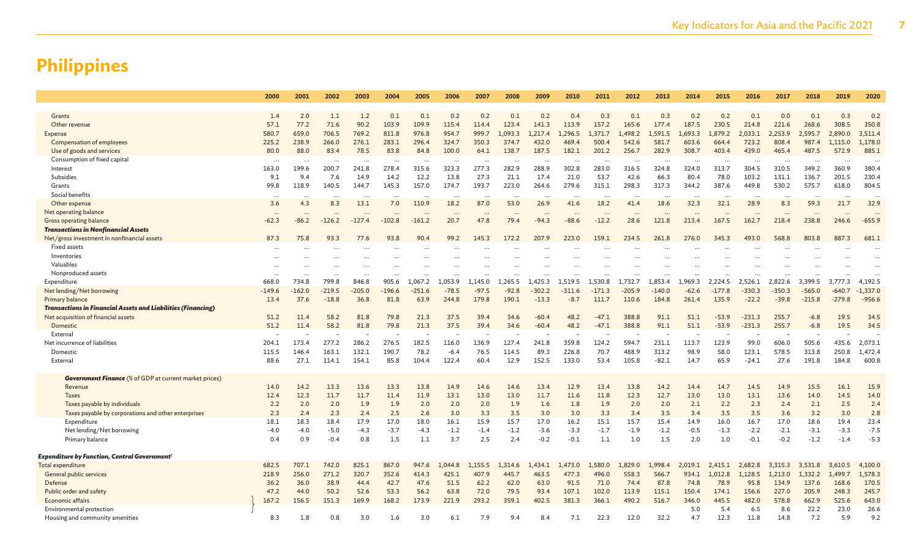|                                                                     | 2000      | 2001      | 2002     | 2003     | 2004      | 2005      | 2006      | 2007                 | 2008    | 2009                 | 2010      | 2011     | 2012                 | 2013      | 2014      | 2015      | 2016     | 2017     | 2018      | 2019     | 2020                 |
|---------------------------------------------------------------------|-----------|-----------|----------|----------|-----------|-----------|-----------|----------------------|---------|----------------------|-----------|----------|----------------------|-----------|-----------|-----------|----------|----------|-----------|----------|----------------------|
|                                                                     |           |           |          |          |           |           |           |                      |         |                      |           |          |                      |           |           |           |          |          |           |          |                      |
| Grants                                                              | 1.4       | 2.0       | 1.1      | 1.2      | 0.1       | 0.1       | 0.2       | 0.2                  | 0.1     | 0.2                  | 0.4       | 0.3      | 0.1                  | 0.3       | 0.2       | 0.2       | 0.1      | 0.0      | 0.1       | 0.3      | 0.2                  |
| Other revenue                                                       | 57.1      | 77.2      | 71.6     | 90.2     | 103.9     | 109.9     | 115.4     | 114.4                | 123.4   | 141.3                | 113.9     | 157.2    | 165.6                | 177.4     | 187.5     | 230.5     | 214.8    | 221.6    | 268.6     | 308.5    | 350.8                |
| Expense                                                             | 580.7     | 659.0     | 706.5    | 769.2    | 811.8     | 976.8     | 954.7     | 999.7                | L.093.3 | 1.217.4              | 1.296.5   | 1.371.7  | 498.2                | 1,591.5   | 1.693.3   | .879.2    | 2.033.1  | 2.253.9  | 2.595.7   | 2,890.0  | 3,511.4              |
| Compensation of employees                                           | 225.2     | 238.9     | 266.0    | 276.1    | 283.1     | 296.4     | 324.7     | 350.3                | 374.7   | 432.0                | 469.4     | 500.4    | 542.6                | 581.7     | 603.6     | 664.4     | 723.2    | 808.4    | 987.4     | 1,115.0  | 1,178.0              |
| Use of goods and services                                           | 80.0      | 88.0      | 83.4     | 78.5     | 83.8      | 84.8      | 100.0     | 64.1                 | 138.7   | 187.5                | 182.1     | 201.2    | 256.7                | 282.9     | 308.7     | 403.4     | 439.0    | 465.4    | 487.5     | 572.9    | 885.1                |
| Consumption of fixed capital                                        | $\cdots$  | $\ddotsc$ | $\cdots$ | $\cdots$ | $\ddotsc$ | $\ddotsc$ | $\ddotsc$ | $\ddotsc$            |         | $\ddot{\phantom{a}}$ | $\cdots$  | $\cdots$ | $\ddot{\phantom{a}}$ | $\ddotsc$ | $\ddotsc$ | $\ddotsc$ | $\cdots$ | $\cdots$ | $\ddotsc$ |          |                      |
| Interest                                                            | 163.0     | 199.6     | 200.7    | 241.8    | 278.4     | 315.6     | 323.3     | 277.3                | 282.9   | 288.9                | 302.8     | 283.0    | 316.5                | 324.8     | 324.0     | 313.7     | 304.5    | 310.5    | 349.2     | 360.9    | 380.4                |
| Subsidies                                                           | 9.1       | 9.4       | 7.6      | 14.9     | 14.2      | 12.2      | 13.8      | 27.3                 | 21.1    | 17.4                 | 21.0      | 53.7     | 42.6                 | 66.3      | 80.4      | 78.0      | 103.2    | 131.1    | 136.7     | 201.5    | 230.4                |
| Grants                                                              | 99.8      | 118.9     | 140.5    | 144.7    | 145.3     | 157.0     | 174.7     | 193.7                | 223.0   | 264.6                | 279.6     | 315.1    | 298.3                | 317.3     | 344.2     | 387.6     | 449.8    | 530.2    | 575.7     | 618.0    | 804.5                |
| Social benefits                                                     |           | $\ddotsc$ | $\cdots$ |          | $\ddotsc$ | $\ddotsc$ |           | $\cdot$ .            |         | $\ddotsc$            | $\ddots$  | $\cdots$ | $\ddotsc$            | $\cdots$  |           | $\ddots$  | $\ddots$ |          | $\cdots$  | $\cdots$ | $\ddotsc$            |
| Other expense                                                       | 3.6       | 4.3       | 8.3      | 13.1     | 7.0       | 110.9     | 18.2      | 87.0                 | 53.0    | 26.9                 | 41.6      | 18.2     | 41.4                 | 18.6      | 32.3      | 32.1      | 28.9     | 8.3      | 59.3      | 21.7     | 32.9                 |
| Net operating balance                                               |           |           |          |          |           |           |           | $\ddotsc$            |         | $\ddotsc$            |           |          | $\ddotsc$            |           |           |           |          |          |           |          |                      |
| Gross operating balance                                             | $-62.3$   | $-86.2$   | $-126.2$ | $-127.4$ | $-102.8$  | $-161.2$  | 20.7      | 47.8                 | 79.4    | $-94.3$              | $-88.6$   | $-12.2$  | 28.6                 | 121.8     | 213.4     | 167.5     | 162.7    | 218.4    | 238.8     | 246.6    | $-655.9$             |
| <b>Transactions in Nonfinancial Assets</b>                          |           |           |          |          |           |           |           |                      |         |                      |           |          |                      |           |           |           |          |          |           |          |                      |
| Net/gross investment in nonfinancial assets                         | 87.3      | 75.8      | 93.3     | 77.6     | 93.8      | 90.4      | 99.2      | 145.3                | 172.2   | 207.9                | 223.0     | 159.1    | 234.5                | 261.8     | 276.0     | 345.3     | 493.0    | 568.8    | 803.8     | 887.3    | 681.1                |
| <b>Fixed assets</b>                                                 | $\ddotsc$ |           |          | $\cdots$ |           |           |           |                      |         |                      |           |          |                      |           |           |           |          |          |           |          | $\ddot{\phantom{a}}$ |
| Inventories                                                         | $\cdots$  |           |          | $\cdots$ |           |           |           |                      |         |                      |           |          |                      |           |           |           |          |          |           |          |                      |
| Valuables                                                           | $\ddotsc$ |           |          |          |           |           |           |                      |         |                      |           |          |                      |           |           |           |          |          |           |          |                      |
| Nonproduced assets                                                  | $\cdots$  | $\ddotsc$ | $\cdots$ |          | $\cdots$  |           | $\ddotsc$ | $\ddot{\phantom{a}}$ |         | $\ddotsc$            | $\ddotsc$ |          | $\ddotsc$            | $\ddotsc$ |           | $\ddotsc$ |          |          |           |          | $\ddot{\phantom{a}}$ |
| Expenditure                                                         | 668.0     | 734.8     | 799.8    | 846.8    | 905.6     | 1.067.2   | .053.9    | 1.145.0              | 1.265.5 | .425.3               | 1.519.5   | 1.530.8  | 1.732.7              | 1.853.4   | 1.969.3   | 2.224.5   | 2.526.1  | 2.822.6  | 3.399.5   | 3,777.3  | 4,192.5              |
| Net lending/Net borrowing                                           | $-149.6$  | $-162.0$  | $-219.5$ | $-205.0$ | $-196.6$  | $-251.6$  | $-78.5$   | $-97.5$              | $-92.8$ | $-302.2$             | $-311.6$  | $-171.3$ | $-205.9$             | $-140.0$  | $-62.6$   | $-177.8$  | $-330.3$ | $-350.3$ | $-565.0$  | $-640.7$ | $-1,337.0$           |
| Primary balance                                                     | 13.4      | 37.6      | $-18.8$  | 36.8     | 81.8      | 63.9      | 244.8     | 179.8                | 190.1   | $-13.3$              | $-8.7$    | 111.7    | 110.6                | 184.8     | 261.4     | 135.9     | $-22.2$  | $-39.8$  | $-215.8$  | $-279.8$ | $-956.6$             |
| <b>Transactions in Financial Assets and Liabilities (Financing)</b> |           |           |          |          |           |           |           |                      |         |                      |           |          |                      |           |           |           |          |          |           |          |                      |
| Net acquisition of financial assets                                 | 51.2      | 11.4      | 58.2     | 81.8     | 79.8      | 21.3      | 37.5      | 39.4                 | 34.6    | $-60.4$              | 48.2      | $-47.1$  | 388.8                | 91.1      | 51.1      | $-53.9$   | $-231.3$ | 255.7    | $-6.8$    | 19.5     | 34.5                 |
| Domestic                                                            | 51.2      | 11.4      | 58.2     | 81.8     | 79.8      | 21.3      | 37.5      | 39.4                 | 34.6    | $-60.4$              | 48.2      | $-47.1$  | 388.8                | 91.1      | 51.1      | $-53.9$   | $-231.3$ | 255.7    | $-6.8$    | 19.5     | 34.5                 |
| External                                                            |           |           |          |          |           |           |           |                      |         |                      |           |          |                      |           |           |           |          |          |           |          |                      |
| Net incurrence of liabilities                                       | 204.1     | 173.4     | 277.2    | 286.2    | 276.5     | 182.5     | 116.0     | 136.9                | 127.4   | 241.8                | 359.8     | 124.2    | 594.7                | 231.1     | 113.7     | 123.9     | 99.0     | 606.0    | 505.6     | 435.6    | 2,073.1              |
| Domestic                                                            | 115.5     | 146.4     | 163.1    | 132.1    | 190.7     | 78.2      | $-6.4$    | 76.5                 | 114.5   | 89.3                 | 226.8     | 70.7     | 488.9                | 313.2     | 98.9      | 58.0      | 123.1    | 578.5    | 313.8     | 250.8    | 1,472.4              |
| External                                                            | 88.6      | 27.1      | 114.1    | 154.1    | 85.8      | 104.4     | 122.4     | 60.4                 | 12.9    | 152.5                | 133.0     | 53.4     | 105.8                | $-82.1$   | 14.7      | 65.9      | $-24.1$  | 27.6     | 191.8     | 184.8    | 600.8                |
|                                                                     |           |           |          |          |           |           |           |                      |         |                      |           |          |                      |           |           |           |          |          |           |          |                      |
| <b>Government Finance</b> (% of GDP at current market prices)       |           |           |          |          |           |           |           |                      |         |                      |           |          |                      |           |           |           |          |          |           |          |                      |
| Revenue                                                             | 14.0      | 14.2      | 13.3     | 13.6     | 13.3      | 13.8      | 14.9      | 14.6                 | 14.6    | 13.4                 | 12.9      | 13.4     | 13.8                 | 14.2      | 14.4      | 14.7      | 14.5     | 14.9     | 15.5      | 16.1     | 15.9                 |
| <b>Taxes</b>                                                        | 12.4      | 12.3      | 11.7     | 11.7     | 11.4      | 11.9      | 13.1      | 13.0                 | 13.0    | 11.7                 | 11.6      | 11.8     | 12.3                 | 12.7      | 13.0      | 13.0      | 13.1     | 13.6     | 14.0      | 14.5     | 14.0                 |
| Taxes payable by individuals                                        | 2.2       | 2.0       | 2.0      | 1.9      | 1.9       | 2.0       | 2.0       | 2.0                  | 1.9     | 1.6                  | 1.8       | 1.9      | 2.0                  | 2.0       | 2.1       | 2.2       | 2.3      | 2.4      | 2.1       | 2.5      | 2.4                  |
| Taxes payable by corporations and other enterprises                 | 2.3       | 2.4       | 2.3      | 2.4      | 2.5       | 2.6       | 3.0       | 3.3                  | 3.5     | 3.0                  | 3.0       | 3.3      | 3.4                  | 3.5       | 3.4       | 3.5       | 3.5      | 3.6      | 3.2       | 3.0      | 2.8                  |
| Expenditure                                                         | 18.1      | 18.3      | 18.4     | 17.9     | 17.0      | 18.0      | 16.1      | 15.9                 | 15.7    | 17.0                 | 16.2      | 15.1     | 15.7                 | 15.4      | 14.9      | 16.0      | 16.7     | 17.0     | 18.6      | 19.4     | 23.4                 |
| Net lending/Net borrowing                                           | $-4.0$    | $-4.0$    | $-5.0$   | $-4.3$   | $-3.7$    | $-4.3$    | $-1.2$    | $-1.4$               | $-1.2$  | $-3.6$               | $-3.3$    | $-1.7$   | $-1.9$               | $-1.2$    | $-0.5$    | $-1.3$    | $-2.2$   | $-2.1$   | $-3.1$    | $-3.3$   | $-7.5$               |
| Primary balance                                                     | 0.4       | 0.9       | $-0.4$   | 0.8      | 1.5       | 1.1       | 3.7       | 2.5                  | 2.4     | $-0.2$               | $-0.1$    | 1.1      | 1.0                  | 1.5       | 2.0       | 1.0       | $-0.1$   | $-0.2$   | $-1.2$    | $-1.4$   | $-5.3$               |
| <b>Expenditure by Function, Central Government</b> <sup>t</sup>     |           |           |          |          |           |           |           |                      |         |                      |           |          |                      |           |           |           |          |          |           |          |                      |
| Total expenditure                                                   | 682.5     | 707.1     | 742.0    | 825.1    | 867.0     | 947.6     | .044.8    | 1.155.5              | 1,314.6 | .434.1               | 1.473.0   | 1,580.0  | .829.0               | 1.998.4   | 2.019.1   | 2.415.1   | 2.682.8  | 3,315.3  | 3.531.8   | 3,610.5  | 4,100.0              |
| General public services                                             | 218.9     | 256.0     | 271.2    | 320.7    | 352.6     | 414.3     | 425.1     | 407.9                | 445.7   | 463.5                | 477.3     | 496.0    | 558.3                | 566.7     | 934.1     | 1,012.8   | 1,128.5  | 1,213.0  | 1,332.2   | 1,499.7  | 1,578.3              |
| Defense                                                             | 36.2      | 36.0      | 38.9     | 44.4     | 42.7      | 47.6      | 51.5      | 62.2                 | 62.0    | 63.0                 | 91.5      | 71.0     | 74.4                 | 87.8      | 74.8      | 78.9      | 95.8     | 134.9    | 137.6     | 168.6    | 170.5                |
| Public order and safety                                             | 47.2      | 44.0      | 50.2     | 52.6     | 53.3      | 56.2      | 63.8      | 72.0                 | 79.5    | 93.4                 | 107.1     | 102.0    | 113.9                | 115.1     | 150.4     | 174.1     | 156.6    | 227.0    | 205.9     | 248.3    | 245.7                |
| Economic affairs                                                    | 167.2     | 156.5     | 151.3    | 169.9    | 168.2     | 173.9     | 221.9     | 293.2                | 359.1   | 402.5                | 381.3     | 366.1    | 490.2                | 516.7     | 346.0     | 445.5     | 482.0    | 578.8    | 662.9     | 525.6    | 643.0                |
| Environmental protection                                            |           |           |          |          |           |           |           |                      |         |                      |           |          |                      |           | 5.0       | 5.4       | 6.5      | 8.6      | 22.2      | 23.0     | 26.6                 |
| Housing and community amenities                                     | 8.3       | 1.8       | 0.8      | 3.0      | 1.6       | 3.0       | 6.1       | 7.9                  | 9.4     | 8.4                  | 7.1       | 22.3     | 12.0                 | 32.2      | 4.7       | 12.3      | 11.8     | 14.8     | 7.2       | 5.9      | 9.2                  |
|                                                                     |           |           |          |          |           |           |           |                      |         |                      |           |          |                      |           |           |           |          |          |           |          |                      |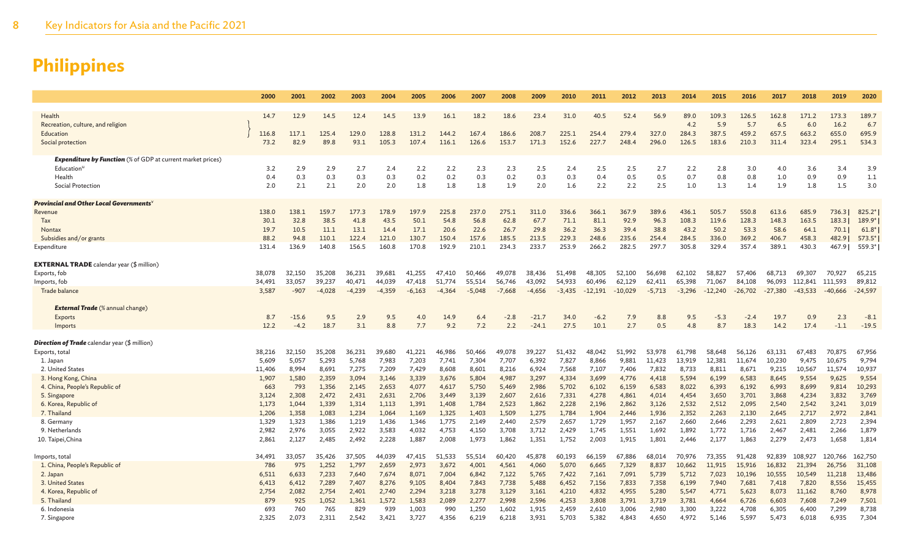|                                                                    | 2000           | 2001           | 2002           | 2003           | 2004           | 2005           | 2006           | 2007           | 2008           | 2009           | 2010           | 2011           | 2012           | 2013           | 2014           | 2015           | 2016           | 2017           | 2018           | 2019           | 2020           |
|--------------------------------------------------------------------|----------------|----------------|----------------|----------------|----------------|----------------|----------------|----------------|----------------|----------------|----------------|----------------|----------------|----------------|----------------|----------------|----------------|----------------|----------------|----------------|----------------|
|                                                                    |                |                |                |                |                |                |                |                |                |                |                |                |                |                |                |                |                |                |                |                |                |
| Health                                                             | 14.7           | 12.9           | 14.5           | 12.4           | 14.5           | 13.9           | 16.1           | 18.2           | 18.6           | 23.4           | 31.0           | 40.5           | 52.4           | 56.9           | 89.0           | 109.3          | 126.5          | 162.8          | 171.2          | 173.3          | 189.7          |
| Recreation, culture, and religion                                  |                |                |                |                |                |                |                |                |                |                |                |                |                |                | 4.2            | 5.9            | 5.7            | 6.5            | 6.0            | 16.2           | 6.7            |
| Education                                                          | 116.8          | 117.1          | 125.4          | 129.0          | 128.8          | 131.2          | 144.2          | 167.4          | 186.6          | 208.7          | 225.1          | 254.4          | 279.4          | 327.0          | 284.3          | 387.5          | 459.2          | 657.5          | 663.2          | 655.0          | 695.9          |
| Social protection                                                  | 73.2           | 82.9           | 89.8           | 93.1           | 105.3          | 107.4          | 116.1          | 126.6          | 153.7          | 171.3          | 152.6          | 227.7          | 248.4          | 296.0          | 126.5          | 183.6          | 210.3          | 311.4          | 323.4          | 295.1          | 534.3          |
| <b>Expenditure by Function</b> (% of GDP at current market prices) |                |                |                |                |                |                |                |                |                |                |                |                |                |                |                |                |                |                |                |                |                |
| Education <sup>u</sup>                                             | 3.2            | 2.9            | 2.9            | 2.7            | 2.4            | 2.2            | 2.2            | 2.3            | 2.3            | 2.5            | 2.4            | 2.5            | 2.5            | 2.7            | 2.2            | 2.8            | 3.0            | 4.0            | 3.6            | 3.4            | 3.9            |
| Health                                                             | 0.4            | 0.3            | 0.3            | 0.3            | 0.3            | 0.2            | 0.2            | 0.3            | 0.2            | 0.3            | 0.3            | 0.4            | 0.5            | 0.5            | 0.7            | 0.8            | 0.8            | 1.0            | 0.9            | 0.9            | 1.1            |
| Social Protection                                                  | 2.0            | 2.1            | 2.1            | 2.0            | 2.0            | 1.8            | 1.8            | 1.8            | 1.9            | 2.0            | 1.6            | 2.2            | 2.2            | 2.5            | 1.0            | 1.3            | 1.4            | 1.9            | 1.8            | 1.5            | 3.0            |
| <b>Provincial and Other Local Governments</b>                      |                |                |                |                |                |                |                |                |                |                |                |                |                |                |                |                |                |                |                |                |                |
| Revenue                                                            | 138.0          | 138.1          | 159.7          | 177.3          | 178.9          | 197.9          | 225.8          | 237.0          | 275.1          | 311.0          | 336.6          | 366.1          | 367.9          | 389.6          | 436.1          | 505.7          | 550.8          | 613.6          | 685.9          | 736.3          | $825.2*$       |
| Tax                                                                | 30.1           | 32.8           | 38.5           | 41.8           | 43.5           | 50.1           | 54.8           | 56.8           | 62.8           | 67.7           | 71.1           | 81.1           | 92.9           | 96.3           | 108.3          | 119.6          | 128.3          | 148.3          | 163.5          | 183.3          | $189.9*$       |
| Nontax                                                             | 19.7           | 10.5           | 11.1           | 13.1           | 14.4           | 17.1           | 20.6           | 22.6           | 26.7           | 29.8           | 36.2           | 36.3           | 39.4           | 38.8           | 43.2           | 50.2           | 53.3           | 58.6           | 64.1           | 70.1           | $61.8*$        |
| Subsidies and/or grants                                            | 88.2           | 94.8           | 110.1          | 122.4          | 121.0          | 130.7          | 150.4          | 157.6          | 185.5          | 213.5          | 229.3          | 248.6          | 235.6          | 254.4          | 284.5          | 336.0          | 369.2          | 406.7          | 458.3          | 482.9          | $573.5*$       |
| Expenditure                                                        | 131.4          | 136.9          | 140.8          | 156.5          | 160.8          | 170.8          | 192.9          | 210.1          | 234.3          | 233.7          | 253.9          | 266.2          | 282.5          | 297.7          | 305.8          | 329.4          | 357.4          | 389.1          | 430.3          | 467.9          | 559.3*         |
| <b>EXTERNAL TRADE</b> calendar year (\$ million)                   |                |                |                |                |                |                |                |                |                |                |                |                |                |                |                |                |                |                |                |                |                |
| Exports, fob                                                       | 38,078         | 32,150         | 35,208         | 36,231         | 39,681         | 41,255         | 47,410         | 50,466         | 49,078         | 38,436         | 51,498         | 48,305         | 52,100         | 56,698         | 62.102         | 58,827         | 57,406         | 68.713         | 69,307         | 70,927         | 65,215         |
| Imports, fob                                                       | 34,491         | 33,057         | 39,237         | 40,471         | 44,039         | 47,418         | 51,774         | 55,514         | 56,746         | 43,092         | 54,933         | 60,496         | 62,129         | 62,411         | 65,398         | 71,067         | 84,108         | 96,093         | 112,841        | 111,593        | 89,812         |
| Trade balance                                                      | 3,587          | $-907$         | $-4,028$       | $-4,239$       | $-4,359$       | $-6,163$       | $-4,364$       | $-5.048$       | $-7,668$       | $-4,656$       | $-3,435$       | $-12,191$      | $-10,029$      | $-5,713$       | $-3,296$       | $-12,240$      | $-26,702$      | $-27,380$      | $-43,533$      | $-40,666$      | $-24,597$      |
| <b>External Trade</b> (% annual change)                            |                |                |                |                |                |                |                |                |                |                |                |                |                |                |                |                |                |                |                |                |                |
| Exports                                                            | 8.7            | $-15.6$        | 9.5            | 2.9            | 9.5            | 4.0            | 14.9           | 6.4            | $-2.8$         | $-21.7$        | 34.0           | $-6.2$         | 7.9            | 8.8            | 9.5            | $-5.3$         | $-2.4$         | 19.7           | 0.9            | 2.3            | $-8.1$         |
| Imports                                                            | 12.2           | $-4.2$         | 18.7           | 3.1            | 8.8            | 7.7            | 9.2            | 7.2            | 2.2            | $-24.1$        | 27.5           | 10.1           | 2.7            | 0.5            | 4.8            | 8.7            | 18.3           | 14.2           | 17.4           | $-1.1$         | $-19.5$        |
|                                                                    |                |                |                |                |                |                |                |                |                |                |                |                |                |                |                |                |                |                |                |                |                |
| <b>Direction of Trade</b> calendar year (\$ million)               |                |                |                |                |                |                |                |                |                |                |                |                |                |                |                |                |                |                |                |                |                |
| Exports, total                                                     | 38,216         | 32,150         | 35,208         | 36,231         | 39,680         | 41,221         | 46,986         | 50,466         | 49,078         | 39,227         | 51,432         | 48,042         | 51,992         | 53,978         | 61,798         | 58,648         | 56,126         | 63,131         | 67,483         | 70,875         | 67,956         |
| 1. Japan                                                           | 5,609          | 5,057          | 5,293          | 5,768          | 7,983          | 7,203          | 7,741          | 7,304          | 7,707          | 6,392          | 7,827          | 8,866          | 9,881          | 11,423         | 13,919         | 12,381         | 11.674         | 10,230         | 9,475          | 10,675         | 9,794          |
| 2. United States                                                   | 11,406         | 8,994          | 8,691          | 7,275          | 7,209          | 7,429          | 8,608          | 8,601          | 8,216          | 6,924          | 7,568          | 7,107          | 7,406          | 7,832          | 8,733          | 8,811          | 8,671          | 9,215          | 10,567         | 11,574         | 10,937         |
| 3. Hong Kong, China                                                | 1,907          | 1,580          | 2,359          | 3,094          | 3,146          | 3,339          | 3,676          | 5,804          | 4,987          | 3,297          | 4,334          | 3,699          | 4,776          | 4,418          | 5,594          | 6,199          | 6,583          | 8,645          | 9,554          | 9,625          | 9,554          |
| 4. China, People's Republic of                                     | 663            | 793            | 1,356          | 2,145          | 2,653          | 4,077          | 4,617          | 5,750          | 5,469          | 2,986          | 5,702          | 6,102          | 6,159          | 6,583          | 8,022          | 6,393          | 6,192          | 6,993          | 8,699          | 9,814          | 10,293         |
| 5. Singapore<br>6. Korea, Republic of                              | 3,124<br>1,173 | 2,308<br>1,044 | 2,472<br>1,339 | 2,431<br>1,314 | 2,631<br>1,113 | 2,706<br>1,391 | 3,449<br>1,408 | 3,139<br>1,784 | 2,607<br>2,523 | 2,616<br>1,862 | 7,331<br>2,228 | 4,278<br>2,196 | 4,861<br>2,862 | 4,014<br>3,126 | 4,454<br>2,532 | 3,650<br>2,512 | 3,701<br>2,095 | 3,868<br>2,540 | 4,234<br>2,542 | 3,832<br>3,241 | 3,769<br>3,019 |
| 7. Thailand                                                        | 1,206          | 1,358          | 1,083          | 1,234          | 1,064          | 1,169          | 1,325          | 1,403          | 1,509          | 1,275          | 1,784          | 1,904          | 2,446          | 1,936          | 2,352          | 2,263          | 2,130          | 2,645          | 2,717          | 2,972          | 2,841          |
| 8. Germany                                                         | 1,329          | 1,323          | 1,386          | 1,219          | 1,436          | 1,346          | 1,775          | 2,149          | 2,440          | 2,579          | 2,657          | 1,729          | 1,957          | 2,167          | 2,660          | 2,646          | 2,293          | 2,621          | 2,809          | 2,723          | 2,394          |
| 9. Netherlands                                                     | 2,982          | 2,976          | 3,055          | 2,922          | 3,583          | 4,032          | 4,753          | 4,150          | 3,708          | 3,712          | 2,429          | 1,745          | 1,551          | 1,692          | 1,892          | 1,772          | 1,716          | 2,467          | 2,481          | 2,266          | 1,879          |
| 10. Taipei, China                                                  | 2,861          | 2,127          | 2,485          | 2,492          | 2,228          | 1,887          | 2,008          | 1,973          | 1,862          | 1,351          | 1,752          | 2,003          | 1,915          | 1,801          | 2,446          | 2,177          | 1,863          | 2,279          | 2,473          | 1,658          | 1,814          |
|                                                                    |                |                |                |                |                |                |                |                |                |                |                |                |                |                |                |                |                |                |                |                |                |
| lmports, total                                                     | 34,491         | 33,057         | 35,426         | 37,505         | 44,039         | 47,415         | 51,533         | 55,514         | 60,420         | 45,878         | 60,193         | 66,159         | 67,886         | 68,014         | 70,976         | 73,355         | 91,428         | 92,839         | 108,927        | 120,766        | 162,750        |
| 1. China, People's Republic of                                     | 786            | 975            | 1.252          | 1,797          | 2,659          | 2,973          | 3,672          | 4.001          | 4.561          | 4,060          | 5,070          | 6.665          | 7,329          | 8,837          | 10.662         | 11,915         | 15,916         | 16,832         | 21,394         | 26,756         | 31,108         |
| 2. Japan                                                           | 6,511          | 6,633          | 7,233          | 7,640          | 7,674          | 8,071          | 7,004          | 6,842          | 7,122          | 5,765          | 7,422          | 7,161          | 7,091          | 5,739          | 5,712          | 7,023          | 10,196         | 10,555         | 10,549         | 11,218         | 13,486         |
| 3. United States                                                   | 6,413          | 6,412          | 7,289          | 7,407          | 8,276          | 9.105          | 8,404          | 7,843          | 7.738          | 5,488          | 6,452          | 7.156          | 7,833          | 7,358          | 6,199          | 7,940          | 7.681          | 7,418          | 7,820          | 8,556          | 15,455         |
| 4. Korea, Republic of                                              | 2,754          | 2,082          | 2,754          | 2,401          | 2,740          | 2,294          | 3,218          | 3,278          | 3,129          | 3,161          | 4,210          | 4.832          | 4,955          | 5,280          | 5,547          | 4,771          | 5,623          | 8,073          | 11,162         | 8,760          | 8,978          |
| 5. Thailand                                                        | 879            | 925            | 1,052          | 1,361          | 1,572          | 1,583          | 2,089          | 2,277          | 2,998          | 2,596          | 4,253          | 3.808          | 3,791          | 3,719          | 3,781          | 4,664          | 6,726          | 6,603          | 7,608          | 7,249          | 7,501          |
| 6. Indonesia                                                       | 693            | 760            | 765            | 829            | 939            | 1,003          | 990            | 1,250          | 1,602          | 1,915          | 2,459          | 2,610          | 3,006          | 2,980          | 3,300          | 3,222          | 4,708          | 6,305          | 6,400          | 7,299          | 8,738          |
| 7. Singapore                                                       | 2,325          | 2,073          | 2,311          | 2,542          | 3,421          | 3,727          | 4,356          | 6,219          | 6,218          | 3,931          | 5,703          | 5,382          | 4,843          | 4,650          | 4,972          | 5,146          | 5,597          | 5,473          | 6,018          | 6,935          | 7,304          |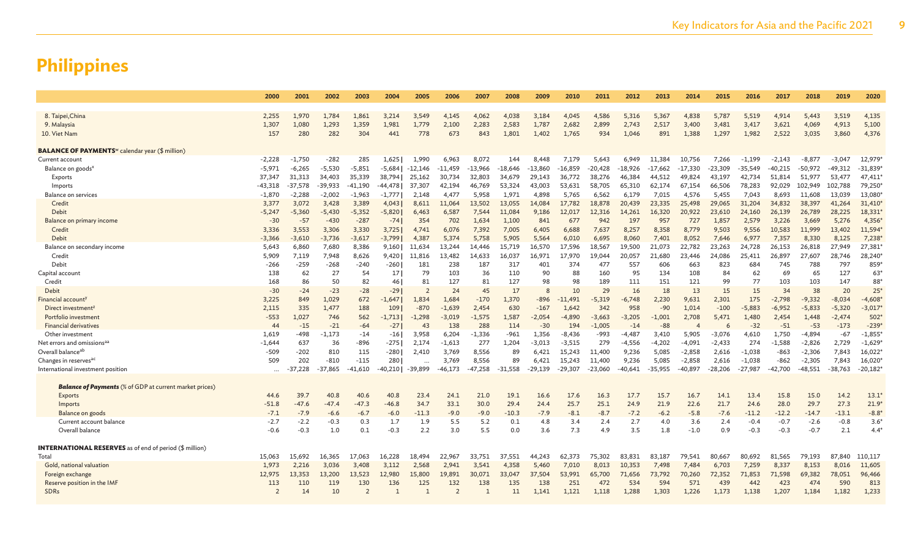|                                                                    | 2000           | 2001      | 2002      | 2003           | 2004         | 2005           | 2006           | 2007      | 2008      | 2009      | 2010      | 2011         | 2012      | 2013      | 2014     | 2015      | 2016      | 2017         | 2018      | 2019      | 2020          |
|--------------------------------------------------------------------|----------------|-----------|-----------|----------------|--------------|----------------|----------------|-----------|-----------|-----------|-----------|--------------|-----------|-----------|----------|-----------|-----------|--------------|-----------|-----------|---------------|
|                                                                    |                |           |           |                |              |                |                |           |           |           |           |              |           |           |          |           |           |              |           |           |               |
| 8. Taipei, China                                                   | 2,255          | 1,970     | 1,784     | 1,861          | 3,214        | 3,549          | 4,145          | 4,062     | 4,038     | 3,184     | 4,045     | 4,586        | 5,316     | 5,367     | 4,838    | 5,787     | 5,519     | 4,914        | 5,443     | 3,519     | 4,135         |
| 9. Malaysia                                                        | 1,307          | 1,080     | 1,293     | 1,359          | 1,981        | 1,779          | 2,100          | 2,283     | 2,583     | 1,787     | 2,682     | 2,899        | 2,743     | 2,517     | 3,400    | 3,481     | 3,417     | 3,621        | 4,069     | 4,913     | 5,100         |
| 10. Viet Nam                                                       | 157            | 280       | 282       | 304            | 441          | 778            | 673            | 843       | 1,801     | 1,402     | 1,765     | 934          | 1,046     | 891       | 1,388    | 1,297     | 1,982     | 2,522        | 3,035     | 3,860     | 4,376         |
| <b>BALANCE OF PAYMENTS</b> <sup>w</sup> calendar year (\$ million) |                |           |           |                |              |                |                |           |           |           |           |              |           |           |          |           |           |              |           |           |               |
| Current account                                                    | $-2,228$       | $-1,750$  | $-282$    | 285            | 1,625        | 1.990          | 6,963          | 8,072     | 144       | 8,448     | 7,179     | 5,643        | 6,949     | 11.384    | 10.756   | 7,266     | $-1.199$  | $-2,143$     | $-8.877$  | $-3.047$  | 12,979        |
| Balance on goods <sup>x</sup>                                      | $-5,971$       | $-6,265$  | $-5,530$  | $-5,851$       | -5,684       | $-12,146$      | -11,459        | $-13,966$ | -18,646   | $-13,860$ | $-16,859$ | $-20,428$    | -18,926   | $-17,662$ | -17,330  | -23,309   | $-35,549$ | $-40,215$    | $-50,972$ | $-49,312$ | $-31,839$     |
| Exports                                                            | 37,347         | 31,313    | 34,403    | 35,339         | 38.794       | 25,162         | 30,734         | 32,803    | 34,679    | 29,143    | 36,772    | 38,276       | 46,384    | 44.512    | 49,824   | 43,197    | 42.734    | 51,814       | 51,977    | 53,477    | 47,411        |
| Imports                                                            | $-43,318$      | $-37,578$ | $-39,933$ | -41,190        | -44,4781     | 37,307         | 42,194         | 46,769    | 53,324    | 43,003    | 53,631    | 58,705       | 65,310    | 62,174    | 67,154   | 66,506    | 78,283    | 92,029       | 102,949   | 102,788   | 79,250        |
| Balance on services                                                | $-1,870$       | $-2,288$  | $-2,002$  | $-1,963$       | $-1,777$     | 2,148          | 4,477          | 5,958     | 1,971     | 4,898     | 5,765     | 6,562        | 6,179     | 7,015     | 4,576    | 5,455     | 7,043     | 8,693        | 11,608    | 13,039    | 13,080        |
| Credit                                                             | 3,377          | 3,072     | 3,428     | 3,389          | 4,043        | 8.611          | 11,064         | 13,502    | 13.055    | 14,084    | 17,782    | 18,878       | 20,439    | 23.335    | 25,498   | 29,065    | 31,204    | 34,832       | 38,397    | 41,264    | 31,410        |
| Debit                                                              | $-5,247$       | $-5,360$  | $-5,430$  | $-5,352$       | $-5,820$     | 6,463          | 6,587          | 7,544     | 11.084    | 9,186     | 12,017    | 12,316       | 14,261    | 16,320    | 20,922   | 23,610    | 24,160    | 26,139       | 26,789    | 28,225    | 18,331        |
| Balance on primary income                                          | $-30$          | $-57$     | $-430$    | $-287$         | $-74$        | 354            | 702            | 1,634     | 1,100     | 841       | 677       | 942          | 197       | 957       | 727      | 1,857     | 2,579     | 3,226        | 3,669     | 5,276     | 4,356         |
| Credit                                                             | 3,336          | 3,553     | 3,306     | 3,330          | 3,725        | 4.741          | 6,076          | 7,392     | 7,005     | 6,405     | 6.688     | 7,637        | 8,257     | 8,358     | 8,779    | 9,503     | 9.556     | 10,583       | 11,999    | 13,402    | 11,594        |
| Debit                                                              | $-3,366$       | $-3,610$  | $-3,736$  | $-3,617$       | $-3,799$     | 4,387          | 5,374          | 5,758     | 5.905     | 5,564     | 6,010     | 6,695        | 8,060     | 7,401     | 8,052    | 7,646     | 6,977     | 7,357        | 8,330     | 8,125     | 7,238         |
| Balance on secondary income                                        | 5,643          | 6,860     | 7,680     | 8,386          | 9,160        | 11,634         | 13,244         | 14,446    | 15,719    | 16,570    | 17,596    | 18,567       | 19,500    | 21,073    | 22,782   | 23,263    | 24,728    | 26,153       | 26,818    | 27,949    | 27,381        |
| Credit                                                             | 5,909          | 7,119     | 7,948     | 8,626          | 9,420        | 11,816         | 13,482         | 14,633    | 16,037    | 16,971    | 17,970    | 19,044       | 20,057    | 21,680    | 23,446   | 24,086    | 25,411    | 26,897       | 27,607    | 28,746    | 28,240        |
| Debit                                                              | $-266$         | $-259$    | $-268$    | $-240$         | -260         | 181            | 238            | 187       | 317       | 401       | 374       | 477          | 557       | 606       | 663      | 823       | 684       | 745          | 788       | 797       | 859           |
| Capital account                                                    | 138            | 62        | 27        | 54             | 17           | 79             | 103            | 36        | 110       | 90        | 88        | 160          | 95        | 134       | 108      | 84        | 62        | 69           | 65        | 127       | 63'           |
| Credit                                                             | 168            | 86        | 50        | 82             | 46           | 81             | 127            | 81        | 127       | 98        | 98        | 189          | 111       | 151       | 121      | 99        | 77        | 103          | 103       | 147       | 88'           |
| Debit                                                              | $-30$          | $-24$     | $-23$     | $-28$          | $-29$        | $\overline{2}$ | 24             | 45        | 17        | 8         | 10        | 29           | 16        | 18        | 13       | 15        | 15        | 34           | 38        | 20        | $25^{\circ}$  |
| Financial account <sup>)</sup>                                     | 3,225          | 849       | 1,029     | 672            | $-1,647$     | 1,834          | 1,684          | $-170$    | 1,370     | -896      | $-11,491$ | $-5,319$     | $-6,748$  | 2,230     | 9,631    | 2,301     | 175       | $-2,798$     | $-9,332$  | $-8,034$  | $-4,608$      |
| Direct investment <sup>z</sup>                                     | 2,115          | 335       | 1.477     | 188            | 109          | $-870$         | $-1,639$       | 2,454     | 630       | $-167$    | 1.642     | 342          | 958       | $-90$     | 1.014    | $-100$    | $-5,883$  | $-6,952$     | $-5,833$  | $-5,320$  | $-3,017'$     |
| Portfolio investment                                               | $-553$         | 1,027     | 746       | 562            | $-1,713$     | $-1,298$       | $-3,019$       | $-1,575$  | 1,587     | $-2,054$  | $-4,890$  | $-3,663$     | $-3,205$  | $-1,001$  | 2,708    | 5,471     | 1,480     | 2,454        | 1,448     | $-2,474$  | 502           |
| <b>Financial derivatives</b>                                       | 44             | $-15$     | $-21$     | $-64$          | $-27$        | 43             | 138            | 288       | 114       | $-30$     | 194       | $-1,005$     | $-14$     | $-88$     |          | 6         | $-32$     | $-51$        | $-53$     | $-173$    | $-239$        |
| Other investment                                                   | 1,619          | -498      | $-1.173$  | $-14$          | -16          | 3.958          | 6,204          | $-1.336$  | $-961$    | 1,356     | $-8.436$  | $-993$       | $-4.487$  | 3,410     | 5,905    | $-3,076$  | 4.610     | 1,750        | $-4,894$  | $-67$     | $-1,855$      |
| Net errors and omissions <sup>aa</sup>                             | $-1,644$       | 637       | 36        | $-896$         | -2751        | 2,174          | $-1,613$       | 277       | 1,204     | $-3,013$  | $-3,515$  | 279          | $-4,556$  | $-4,202$  | $-4,091$ | $-2,433$  | 274       | $-1,588$     | $-2,826$  | 2,729     | $-1,629$      |
| Overall balance <sup>ab</sup>                                      | $-509$         | $-202$    | 810       | 115            | $-280$       | 2,410          | 3,769          | 8,556     | 89        | 6,421     | 15,243    | 11,400       | 9,236     | 5,085     | $-2,858$ | 2,616     | $-1,038$  | $-863$       | $-2,306$  | 7,843     | 16,022        |
| Changes in reserves <sup>ac</sup>                                  | 509            | 202       | $-810$    | $-115$         | 280          |                | 3,769          | 8,556     | 89        | 6,421     | 15,243    | 11,400       | 9,236     | 5.085     | $-2,858$ | 2,616     | $-1,038$  | $-862$       | $-2,305$  | 7,843     | 16,020        |
| International investment position                                  | $\cdots$       | 37.228    | $-37,865$ | 41,610         | 40,210       | $-39,899$      | 46,173         | -47,258   | $-31.558$ | -29,139   | $-29.307$ | $-23,060$    | $-40,641$ | $-35.955$ | -40,897  | $-28,206$ | $-27.987$ | $-42,700$    | $-48,551$ | $-38,763$ | $-20,182$     |
|                                                                    |                |           |           |                |              |                |                |           |           |           |           |              |           |           |          |           |           |              |           |           |               |
| <b>Balance of Payments</b> (% of GDP at current market prices)     | 44.6           | 39.7      |           | 40.6           |              |                |                |           |           |           | 17.6      |              | 17.7      | 15.7      | 16.7     | 14.1      | 13.4      |              | 15.0      | 14.2      |               |
| Exports                                                            |                | $-47.6$   | 40.8      |                | 40.8         | 23.4           | 24.1           | 21.0      | 19.1      | 16.6      |           | 16.3<br>25.1 |           |           | 22.6     |           |           | 15.8<br>28.0 | 29.7      |           | 13.1<br>21.9' |
| Imports                                                            | $-51.8$        |           | $-47.4$   | $-47.3$        | $-46.8$      | 34.7           | 33.1           | 30.0      | 29.4      | 24.4      | 25.7      |              | 24.9      | 21.9      |          | 21.7      | 24.6      |              |           | 27.3      |               |
| Balance on goods                                                   | $-7.1$         | $-7.9$    | $-6.6$    | $-6.7$         | $-6.0$       | -11.3          | $-9.0$         | $-9.0$    | -10.3     | $-7.9$    | $-8.1$    | $-8.7$       | $-7.2$    | $-6.2$    | $-5.8$   | $-7.6$    | $-11.2$   | $-12.2$      | $-14.7$   | $-13.1$   | $-8.8'$       |
| Current account balance                                            | $-2.7$         | $-2.2$    | $-0.3$    | 0.3            | 1.7          | 1.9            | 5.5            | 5.2       | 0.1       | 4.8       | 3.4       | 2.4          | 2.7       | 4.0       | 3.6      | 2.4       | $-0.4$    | $-0.7$       | $-2.6$    | $-0.8$    | 3.6<br>4.4    |
| Overall balance                                                    | $-0.6$         | $-0.3$    | 1.0       | 0.1            | $-0.3$       | 2.2            | 3.0            | 5.5       | 0.0       | 3.6       | 7.3       | 4.9          | 3.5       | 1.8       | $-1.0$   | 0.9       | $-0.3$    | $-0.3$       | $-0.7$    | 2.1       |               |
| <b>INTERNATIONAL RESERVES</b> as of end of period (\$ million)     |                |           |           |                |              |                |                |           |           |           |           |              |           |           |          |           |           |              |           |           |               |
| Total                                                              | 15,063         | 15,692    | 16,365    | 17,063         | 16,228       | 18,494         | 22,967         | 33,751    | 37,551    | 44,243    | 62,373    | 75,302       | 83,831    | 83.187    | 79,541   | 80,667    | 80,692    | 81,565       | 79,193    | 87,840    | 110,117       |
| Gold, national valuation                                           | 1,973          | 2,216     | 3,036     | 3,408          | 3,112        | 2,568          | 2,941          | 3,541     | 4,358     | 5,460     | 7,010     | 8,013        | 10,353    | 7,498     | 7,484    | 6,703     | 7,259     | 8,337        | 8,153     | 8,016     | 11,605        |
| Foreign exchange                                                   | 12,975         | 13,353    | 13,200    | 13,523         | 12,980       | 15,800         | 19,891         | 30,071    | 33,047    | 37,504    | 53,991    | 65,700       | 71,656    | 73,792    | 70,260   | 72,352    | 71,853    | 71,598       | 69,382    | 78,051    | 96,466        |
| Reserve position in the IMF                                        | 113            | 110       | 119       | 130            | 136          | 125            | 132            | 138       | 135       | 138       | 251       | 472          | 534       | 594       | 571      | 439       | 442       | 423          | 474       | 590       | 813           |
| <b>SDRs</b>                                                        | $\overline{2}$ | 14        | 10        | $\overline{2}$ | $\mathbf{1}$ |                | $\overline{2}$ |           | 11        | 1,141     | 1,121     | 1,118        | 1,288     | 1,303     | 1,226    | 1,173     | 1,138     | 1,207        | 1,184     | 1,182     | 1,233         |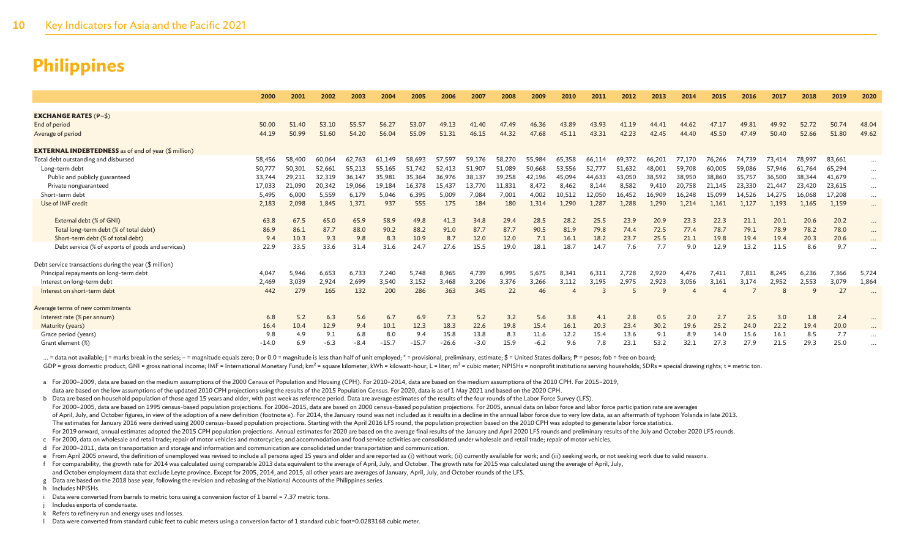|                                                             | 2000    | 2001   | 2002   | 2003   | 2004    | 2005    | 2006    | 2007   | 2008   | 2009   | 2010   | 2011         | 2012   | 2013   | 2014   | 2015   | 2016   | 2017          | 2018   | 2019   | 2020     |
|-------------------------------------------------------------|---------|--------|--------|--------|---------|---------|---------|--------|--------|--------|--------|--------------|--------|--------|--------|--------|--------|---------------|--------|--------|----------|
|                                                             |         |        |        |        |         |         |         |        |        |        |        |              |        |        |        |        |        |               |        |        |          |
| <b>EXCHANGE RATES <math>(P-S)</math></b>                    |         |        |        |        |         |         |         |        |        |        |        |              |        |        |        |        |        |               |        |        |          |
| End of period                                               | 50.00   | 51.40  | 53.10  | 55.57  | 56.27   | 53.07   | 49.13   | 41.40  | 47.49  | 46.36  | 43.89  | 43.93        | 41.19  | 44.41  | 44.62  | 47.17  | 49.81  | 49.92         | 52.72  | 50.74  | 48.04    |
| Average of period                                           | 44.19   | 50.99  | 51.60  | 54.20  | 56.04   | 55.09   | 51.31   | 46.15  | 44.32  | 47.68  | 45.11  | 43.31        | 42.23  | 42.45  | 44.40  | 45.50  | 47.49  | 50.40         | 52.66  | 51.80  | 49.62    |
| <b>EXTERNAL INDEBTEDNESS</b> as of end of year (\$ million) |         |        |        |        |         |         |         |        |        |        |        |              |        |        |        |        |        |               |        |        |          |
| Total debt outstanding and disbursed                        | 58,456  | 58,400 | 60.064 | 62,763 | 61,149  | 58,693  | 57,597  | 59,176 | 58,270 | 55,984 | 65,358 | 66,114       | 69,372 | 66,201 | 77,170 | 76,266 | 74,739 | 73,414        | 78,997 | 83,661 | $\cdots$ |
| Long-term debt                                              | 50,777  | 50,301 | 52.661 | 55,213 | 55,165  | 51,742  | 52,413  | 51,907 | 51,089 | 50,668 | 53,556 | 52,777       | 51,632 | 48,001 | 59,708 | 60,005 | 59,086 | 57,946        | 61,764 | 65,294 | $\cdots$ |
| Public and publicly guaranteed                              | 33,744  | 29.21: | 32,319 | 36,147 | 35,981  | 35,364  | 36,976  | 38,137 | 39,258 | 42,196 | 45,094 | 44,633       | 43,050 | 38,592 | 38,950 | 38,860 | 35,757 | 36,500        | 38,344 | 41,679 | $\cdots$ |
| Private nonguaranteed                                       | 17,033  | 21,090 | 20,342 | 19,066 | 19,184  | 16,378  | 15,437  | 13,770 | 11,831 | 8,472  | 8,462  | 8,144        | 8,582  | 9,410  | 20,758 | 21,145 | 23,330 | 21,447        | 23,420 | 23,615 | $\cdots$ |
| Short-term debt                                             | 5,495   | 6,000  | 5,559  | 6,179  | 5,046   | 6,395   | 5,009   | 7,084  | 7,001  | 4,002  | 10,512 | 12,050       | 16,452 | 16,909 | 16,248 | 15,099 | 14.526 | 14.275        | 16,068 | 17,208 | $\cdots$ |
| Use of IMF credit                                           | 2,183   | 2,098  | 1.845  | 1,371  | 937     | 555     | 175     | 184    | 180    | 1.314  | 1,290  | 1.287        | 1,288  | 1.290  | 1.214  | 1.161  | 1.127  | 1.193         | 1,165  | 1,159  | $\cdots$ |
| External debt (% of GNI)                                    | 63.8    | 67.5   | 65.0   | 65.9   | 58.9    | 49.8    | 41.3    | 34.8   | 29.4   | 28.5   | 28.2   | 25.5         | 23.9   | 20.9   | 23.3   | 22.3   | 21.1   | 20.1          | 20.6   | 20.2   | $\cdots$ |
| Total long-term debt (% of total debt)                      | 86.9    | 86.1   | 87.7   | 88.0   | 90.2    | 88.2    | 91.0    | 87.7   | 87.7   | 90.5   | 81.9   | 79.8         | 74.4   | 72.5   | 77.4   | 78.7   | 79.1   | 78.9          | 78.2   | 78.0   | $\cdots$ |
| Short-term debt (% of total debt)                           | 9.4     | 10.3   | 9.3    | 9.8    | 8.3     | 10.9    | 8.7     | 12.0   | 12.0   | 7.1    | 16.1   | 18.2         | 23.7   | 25.5   | 21.1   | 19.8   | 19.4   | 19.4          | 20.3   | 20.6   | $\cdots$ |
| Debt service (% of exports of goods and services)           | 22.9    | 33.5   | 33.6   | 31.4   | 31.6    | 24.7    | 27.6    | 15.5   | 19.0   | 18.1   | 18.7   | 14.7         | 7.6    | 7.7    | 9.0    | 12.9   | 13.2   | 11.5          | 8.6    | 9.7    |          |
| Debt service transactions during the year (\$ million)      |         |        |        |        |         |         |         |        |        |        |        |              |        |        |        |        |        |               |        |        |          |
| Principal repayments on long-term debt                      | 4.047   | 5,946  | 6,653  | 6,733  | 7.240   | 5.748   | 8,965   | 4.739  | 6.995  | 5,675  | 8.341  | 6.311        | 2,728  | 2.920  | 4.476  | 7,411  | 7,811  | 8.245         | 6,236  | 7,366  | 5,724    |
| Interest on long-term debt                                  | 2,469   | 3,039  | 2,924  | 2,699  | 3,540   | 3,152   | 3.468   | 3,206  | 3,376  | 3,266  | 3,112  | 3,195        | 2,975  | 2,923  | 3,056  | 3,161  | 3.174  | 2,952         | 2,553  | 3,079  | 1,864    |
| Interest on short-term debt                                 | 442     | 279    | 165    | 132    | 200     | 286     | 363     | 345    | 22     | 46     |        | $\mathbf{z}$ |        | Q      |        |        |        | $\mathcal{R}$ | q      | 27     |          |
| Average terms of new commitments                            |         |        |        |        |         |         |         |        |        |        |        |              |        |        |        |        |        |               |        |        |          |
| Interest rate (% per annum)                                 | 6.8     | 5.2    | 6.3    | 5.6    | 6.7     | 6.9     | 7.3     | 5.2    | 3.2    | 5.6    | 3.8    | 4.1          | 2.8    | 0.5    | 2.0    | 2.7    | 2.5    | 3.0           | 1.8    | 2.4    |          |
| Maturity (years)                                            | 16.4    | 10.4   | 12.9   | 9.4    | 10.1    | 12.3    | 18.3    | 22.6   | 19.8   | 15.4   | 16.1   | 20.3         | 23.4   | 30.2   | 19.6   | 25.2   | 24.0   | 22.2          | 19.4   | 20.0   | $\cdots$ |
| Grace period (years)                                        | 9.8     | 4.9    | 9.1    | 6.8    | 8.0     | 9.4     | 15.8    | 13.8   | 8.3    | 11.6   | 12.2   | 15.4         | 13.6   | 9.1    | 8.9    | 14.0   | 15.6   | 16.1          | 8.5    | 7.7    |          |
| Grant element (%)                                           | $-14.0$ | 6.9    | -6.3   | $-8.4$ | $-15.7$ | $-15.7$ | $-26.6$ | $-3.0$ | 15.9   | $-6.2$ | 9.6    | 7.8          | 23.1   | 53.2   | 32.1   | 27.3   | 27.9   | 21.5          | 29.3   | 25.0   |          |

... = data not available; | = marks break in the series; - = magnitude equals zero; 0 or 0.0 = magnitude is less than half of unit employed; \* = provisional, preliminary, estimate; \$ = United States dollars; P = pesos; fob

GDP = gross domestic product: GNI = gross national income: IMF = International Monetary Fund: km<sup>2</sup> = square kilometer: kWh = kilowatt-hour: L = liter: m<sup>3</sup> = cubic meter: NPISHs = nonprofit institutions serving household

a For 2000–2009, data are based on the medium assumptions of the 2000 Census of Population and Housing (CPH). For 2010–2014, data are based on the medium assumptions of the 2010 CPH. For 2015–2019, data are based on the low assumptions of the updated 2010 CPH projections using the results of the 2015 Population Census. For 2020, data is as of 1 May 2021 and based on the 2020 CPH.

b Data are based on household population of those aged 15 years and older, with past week as reference period. Data are average estimates of the results of the four rounds of the Labor Force Survey (LFS). For 2000-2005, data are based on 1995 census-based population projections, For 2006-2015, data are based on 2000 census-based population projections. For 2005, annual data on labor force and labor force participation rate of April, July, and October figures, in view of the adoption of a new definition (footnote e). For 2014, the January round was not included as it results in a decline in the annual labor force due to very low data, as an a The estimates for January 2016 were derived using 2000 census-based population projections. Starting with the April 2016 LFS round, the population projection based on the 2010 CPH was adopted to generate labor force statis For 2019 onward, annual estimates adopted the 2015 CPH population projections. Annual estimates for 2020 are based on the average final results of the January and April 2020 LFS rounds and preliminary results of the July a

c For 2000, data on wholesale and retail trade; repair of motor vehicles and motorcycles; and accommodation and food service activities are consolidated under wholesale and retail trade; repair of motor vehicles.

d For 2000–2011, data on transportation and storage and information and communication are consolidated under transportation and communication.

e From April 2005 onward, the definition of unemployed was revised to include all persons aged 15 years and older and are reported as (i) without work; (ii) currently available for work; and (iii) seeking work, or not seek

f For comparability, the growth rate for 2014 was calculated using comparable 2013 data equivalent to the average of April, July, and October. The growth rate for 2015 was calculated using the average of April, July,

and October employment data that exclude Leyte province. Except for 2005, 2014, and 2015, all other years are averages of January, April, July, and October rounds of the LFS.

g Data are based on the 2018 base year, following the revision and rebasing of the National Accounts of the Philippines series.

h Includes NPISHs.

i Data were converted from barrels to metric tons using a conversion factor of 1 barrel = 7.37 metric tons.

Includes exports of condensate.

k Refers to refinery run and energy uses and losses.

l Data were converted from standard cubic feet to cubic meters using a conversion factor of 1 standard cubic foot=0.0283168 cubic meter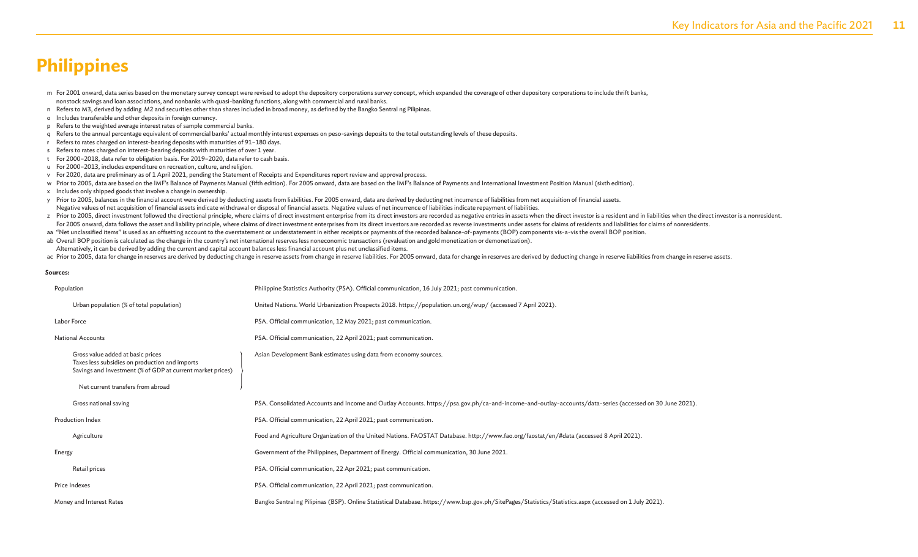m For 2001 onward, data series based on the monetary survey concept were revised to adopt the depository corporations survey concept, which expanded the coverage of other depository corporations to include thrift banks, nonstock savings and loan associations, and nonbanks with quasi-banking functions, along with commercial and rural banks.

- n Refers to M3, derived by adding M2 and securities other than shares included in broad money, as defined by the Bangko Sentral ng Pilipinas.
- o Includes transferable and other deposits in foreign currency.
- p Refers to the weighted average interest rates of sample commercial banks.
- q Refers to the annual percentage equivalent of commercial banks' actual monthly interest expenses on peso-savings deposits to the total outstanding levels of these deposits.
- r Refers to rates charged on interest-bearing deposits with maturities of 91–180 days.
- s Refers to rates charged on interest-bearing deposits with maturities of over 1 year.
- t For 2000–2018, data refer to obligation basis. For 2019–2020, data refer to cash basis.
- u For 2000–2013, includes expenditure on recreation, culture, and religion.
- v For 2020, data are preliminary as of 1 April 2021, pending the Statement of Receipts and Expenditures report review and approval process.
- w Prior to 2005, data are based on the IMF's Balance of Payments Manual (fifth edition). For 2005 onward, data are based on the IMF's Balance of Payments and International Investment Position Manual (sixth edition).
- x Includes only shipped goods that involve a change in ownership.
- y Prior to 2005, balances in the financial account were derived by deducting assets from liabilities. For 2005 onward, data are derived by deducting net incurrence of liabilities from net acquisition of financial assets. Negative values of net acquisition of financial assets indicate withdrawal or disposal of financial assets. Negative values of net incurrence of liabilities indicate repayment of liabilities.
- z Prior to 2005, direct investment followed the directional principle, where claims of direct investment enterprise from its direct investors are recorded as negative entries in assets when the direct investor is a residen For 2005 onward, data follows the asset and liability principle, where claims of direct investment enterprises from its direct investors are recorded as reverse investments under assets for claims of residents and liabilit
- aa "Net unclassified items" is used as an offsetting account to the overstatement or understatement in either receipts or payments of the recorded balance-of-payments (BOP) components vis-a-vis the overall BOP position.
- ab Overall BOP position is calculated as the change in the country's net international reserves less noneconomic transactions (revaluation and gold monetization or demonetization).
- Alternatively, it can be derived by adding the current and capital account balances less financial account plus net unclassified items.
- ac Prior to 2005, data for change in reserves are derived by deducting change in reserve assets from change in reserve liabilities. For 2005 onward, data for change in reserves are derived by deducting change in reserve as

#### **Sources:**

| Population                                                                                                                                        | Philippine Statistics Authority (PSA). Official communication, 16 July 2021; past communication.                                                        |
|---------------------------------------------------------------------------------------------------------------------------------------------------|---------------------------------------------------------------------------------------------------------------------------------------------------------|
| Urban population (% of total population)                                                                                                          | United Nations. World Urbanization Prospects 2018. https://population.un.org/wup/ (accessed 7 April 2021).                                              |
| Labor Force                                                                                                                                       | PSA. Official communication, 12 May 2021; past communication.                                                                                           |
| <b>National Accounts</b>                                                                                                                          | PSA. Official communication, 22 April 2021; past communication.                                                                                         |
| Gross value added at basic prices<br>Taxes less subsidies on production and imports<br>Savings and Investment (% of GDP at current market prices) | Asian Development Bank estimates using data from economy sources.                                                                                       |
| Net current transfers from abroad                                                                                                                 |                                                                                                                                                         |
| Gross national saving                                                                                                                             | PSA. Consolidated Accounts and Income and Outlay Accounts. https://psa.gov.ph/ca-and-income-and-outlay-accounts/data-series (accessed on 30 June 2021). |
| <b>Production Index</b>                                                                                                                           | PSA. Official communication, 22 April 2021; past communication.                                                                                         |
| Agriculture                                                                                                                                       | Food and Agriculture Organization of the United Nations. FAOSTAT Database. http://www.fao.org/faostat/en/#data (accessed 8 April 2021).                 |
| Energy                                                                                                                                            | Government of the Philippines, Department of Energy. Official communication, 30 June 2021.                                                              |
| Retail prices                                                                                                                                     | PSA. Official communication, 22 Apr 2021; past communication.                                                                                           |
| Price Indexes                                                                                                                                     | PSA. Official communication, 22 April 2021; past communication.                                                                                         |
| Money and Interest Rates                                                                                                                          | Bangko Sentral ng Pilipinas (BSP). Online Statistical Database. https://www.bsp.gov.ph/SitePages/Statistics/Statistics.aspx (accessed on 1 July 2021).  |